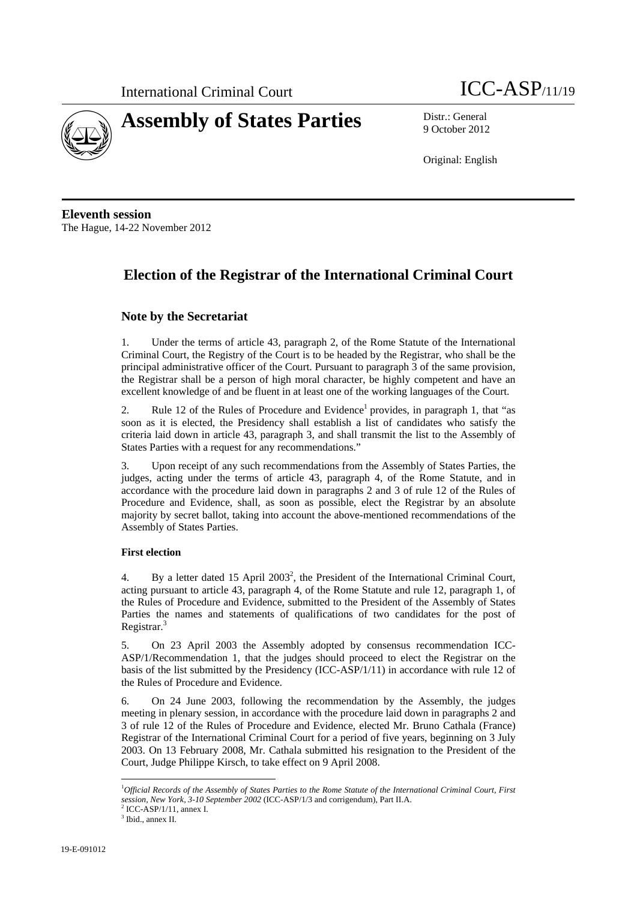



9 October 2012

Original: English

**Eleventh session**  The Hague, 14-22 November 2012

## **Election of the Registrar of the International Criminal Court**

### **Note by the Secretariat**

1. Under the terms of article 43, paragraph 2, of the Rome Statute of the International Criminal Court, the Registry of the Court is to be headed by the Registrar, who shall be the principal administrative officer of the Court. Pursuant to paragraph 3 of the same provision, the Registrar shall be a person of high moral character, be highly competent and have an excellent knowledge of and be fluent in at least one of the working languages of the Court.

2. Rule 12 of the Rules of Procedure and Evidence<sup>1</sup> provides, in paragraph 1, that "as soon as it is elected, the Presidency shall establish a list of candidates who satisfy the criteria laid down in article 43, paragraph 3, and shall transmit the list to the Assembly of States Parties with a request for any recommendations."

3. Upon receipt of any such recommendations from the Assembly of States Parties, the judges, acting under the terms of article 43, paragraph 4, of the Rome Statute, and in accordance with the procedure laid down in paragraphs 2 and 3 of rule 12 of the Rules of Procedure and Evidence, shall, as soon as possible, elect the Registrar by an absolute majority by secret ballot, taking into account the above-mentioned recommendations of the Assembly of States Parties.

### **First election**

4. By a letter dated 15 April 2003<sup>2</sup>, the President of the International Criminal Court, acting pursuant to article 43, paragraph 4, of the Rome Statute and rule 12, paragraph 1, of the Rules of Procedure and Evidence, submitted to the President of the Assembly of States Parties the names and statements of qualifications of two candidates for the post of Registrar.<sup>3</sup>

5. On 23 April 2003 the Assembly adopted by consensus recommendation ICC-ASP/1/Recommendation 1, that the judges should proceed to elect the Registrar on the basis of the list submitted by the Presidency (ICC-ASP/1/11) in accordance with rule 12 of the Rules of Procedure and Evidence.

6. On 24 June 2003, following the recommendation by the Assembly, the judges meeting in plenary session, in accordance with the procedure laid down in paragraphs 2 and 3 of rule 12 of the Rules of Procedure and Evidence, elected Mr. Bruno Cathala (France) Registrar of the International Criminal Court for a period of five years, beginning on 3 July 2003. On 13 February 2008, Mr. Cathala submitted his resignation to the President of the Court, Judge Philippe Kirsch, to take effect on 9 April 2008.

 $\overline{a}$ 

<sup>1</sup> *Official Records of the Assembly of States Parties to the Rome Statute of the International Criminal Court, First session, New York, 3-10 September 2002* (ICC-ASP/1/3 and corrigendum), Part II.A. 2

ICC-ASP/1/11, annex I.

<sup>3</sup> Ibid., annex II.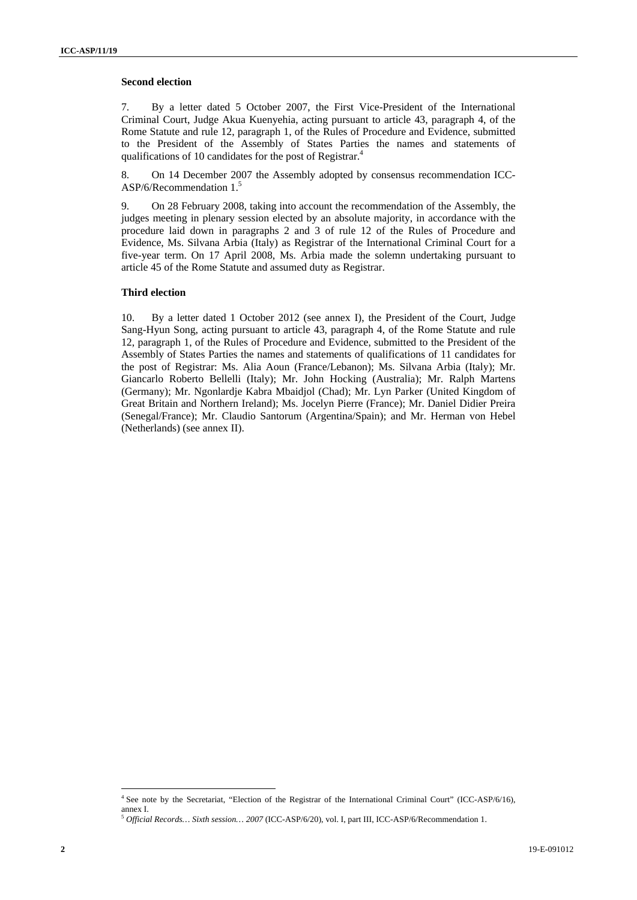### **Second election**

7. By a letter dated 5 October 2007, the First Vice-President of the International Criminal Court, Judge Akua Kuenyehia, acting pursuant to article 43, paragraph 4, of the Rome Statute and rule 12, paragraph 1, of the Rules of Procedure and Evidence, submitted to the President of the Assembly of States Parties the names and statements of qualifications of 10 candidates for the post of Registrar.<sup>4</sup>

8. On 14 December 2007 the Assembly adopted by consensus recommendation ICC-ASP/6/Recommendation 1.<sup>5</sup>

9. On 28 February 2008, taking into account the recommendation of the Assembly, the judges meeting in plenary session elected by an absolute majority, in accordance with the procedure laid down in paragraphs 2 and 3 of rule 12 of the Rules of Procedure and Evidence, Ms. Silvana Arbia (Italy) as Registrar of the International Criminal Court for a five-year term. On 17 April 2008, Ms. Arbia made the solemn undertaking pursuant to article 45 of the Rome Statute and assumed duty as Registrar.

#### **Third election**

10. By a letter dated 1 October 2012 (see annex I), the President of the Court, Judge Sang-Hyun Song, acting pursuant to article 43, paragraph 4, of the Rome Statute and rule 12, paragraph 1, of the Rules of Procedure and Evidence, submitted to the President of the Assembly of States Parties the names and statements of qualifications of 11 candidates for the post of Registrar: Ms. Alia Aoun (France/Lebanon); Ms. Silvana Arbia (Italy); Mr. Giancarlo Roberto Bellelli (Italy); Mr. John Hocking (Australia); Mr. Ralph Martens (Germany); Mr. Ngonlardje Kabra Mbaidjol (Chad); Mr. Lyn Parker (United Kingdom of Great Britain and Northern Ireland); Ms. Jocelyn Pierre (France); Mr. Daniel Didier Preira (Senegal/France); Mr. Claudio Santorum (Argentina/Spain); and Mr. Herman von Hebel (Netherlands) (see annex II).

 $\overline{a}$ 

<sup>&</sup>lt;sup>4</sup> See note by the Secretariat, "Election of the Registrar of the International Criminal Court" (ICC-ASP/6/16), annex I.

<sup>5</sup> *Official Records… Sixth session… 2007* (ICC-ASP/6/20), vol. I, part III, ICC-ASP/6/Recommendation 1.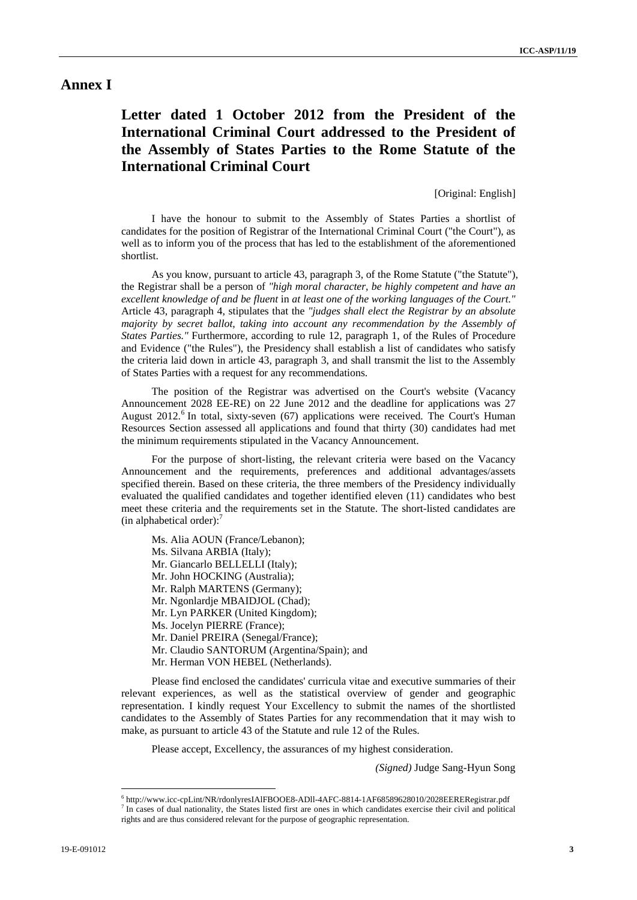### **Annex I**

## **Letter dated 1 October 2012 from the President of the International Criminal Court addressed to the President of the Assembly of States Parties to the Rome Statute of the International Criminal Court**

[Original: English]

I have the honour to submit to the Assembly of States Parties a shortlist of candidates for the position of Registrar of the International Criminal Court ("the Court"), as well as to inform you of the process that has led to the establishment of the aforementioned shortlist.

As you know, pursuant to article 43, paragraph 3, of the Rome Statute ("the Statute"), the Registrar shall be a person of *"high moral character, be highly competent and have an excellent knowledge of and be fluent* in *at least one of the working languages of the Court."*  Article 43, paragraph 4, stipulates that the *"judges shall elect the Registrar by an absolute majority by secret ballot, taking into account any recommendation by the Assembly of States Parties."* Furthermore, according to rule 12, paragraph 1, of the Rules of Procedure and Evidence ("the Rules"), the Presidency shall establish a list of candidates who satisfy the criteria laid down in article 43, paragraph 3, and shall transmit the list to the Assembly of States Parties with a request for any recommendations.

The position of the Registrar was advertised on the Court's website (Vacancy Announcement 2028 EE-RE) on 22 June 2012 and the deadline for applications was 27 August 2012.<sup>6</sup> In total, sixty-seven (67) applications were received. The Court's Human Resources Section assessed all applications and found that thirty (30) candidates had met the minimum requirements stipulated in the Vacancy Announcement.

For the purpose of short-listing, the relevant criteria were based on the Vacancy Announcement and the requirements, preferences and additional advantages/assets specified therein. Based on these criteria, the three members of the Presidency individually evaluated the qualified candidates and together identified eleven (11) candidates who best meet these criteria and the requirements set in the Statute. The short-listed candidates are (in alphabetical order): $<sup>7</sup>$ </sup>

Ms. Alia AOUN (France/Lebanon);

- Ms. Silvana ARBIA (Italy);
- Mr. Giancarlo BELLELLI (Italy);
- Mr. John HOCKING (Australia);
- Mr. Ralph MARTENS (Germany);
- Mr. Ngonlardje MBAIDJOL (Chad);
- Mr. Lyn PARKER (United Kingdom);
- Ms. Jocelyn PIERRE (France);
- Mr. Daniel PREIRA (Senegal/France);
- Mr. Claudio SANTORUM (Argentina/Spain); and
- Mr. Herman VON HEBEL (Netherlands).

Please find enclosed the candidates' curricula vitae and executive summaries of their relevant experiences, as well as the statistical overview of gender and geographic representation. I kindly request Your Excellency to submit the names of the shortlisted candidates to the Assembly of States Parties for any recommendation that it may wish to make, as pursuant to article 43 of the Statute and rule 12 of the Rules.

Please accept, Excellency, the assurances of my highest consideration.

*(Signed)* Judge Sang-Hyun Song

 $\overline{a}$ 

 $^{6}$  http://www.icc-cpLint/NR/rdonlyresIAlFBOOE8-ADll-4AFC-8814-1AF68589628010/2028EERERegistrar.pdf  $^{7}$  In eggs of dual nationality, the States listed first are ones in which condidates exercise their givil and natiti

In cases of dual nationality, the States listed first are ones in which candidates exercise their civil and political rights and are thus considered relevant for the purpose of geographic representation.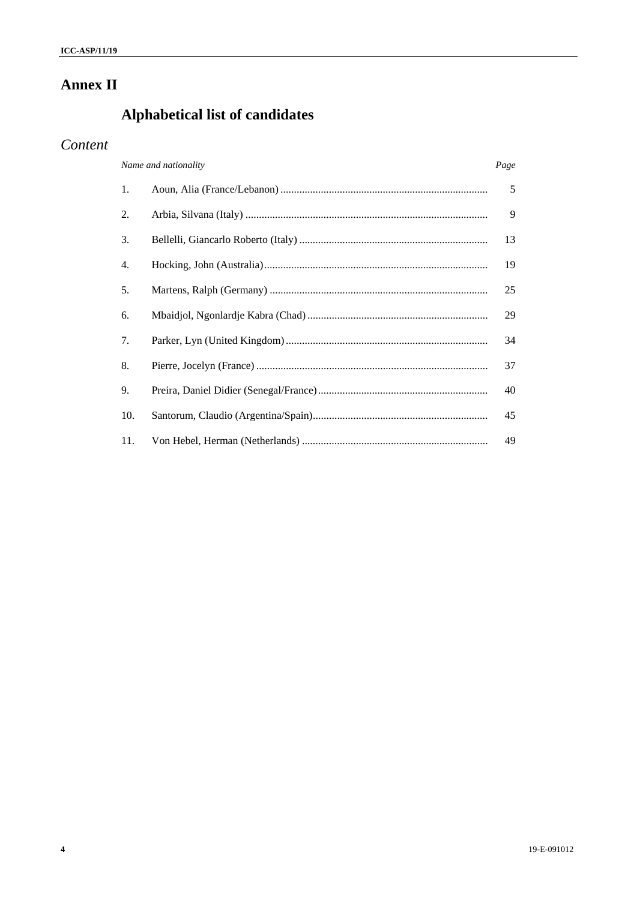# **Annex II**

# Alphabetical list of candidates

## Content

| Name and nationality |  |    |
|----------------------|--|----|
| 1.                   |  | 5  |
| 2.                   |  | 9  |
| 3.                   |  | 13 |
| 4.                   |  | 19 |
| 5.                   |  | 25 |
| 6.                   |  | 29 |
| 7.                   |  | 34 |
| 8.                   |  | 37 |
| 9.                   |  | 40 |
| 10.                  |  | 45 |
| 11.                  |  | 49 |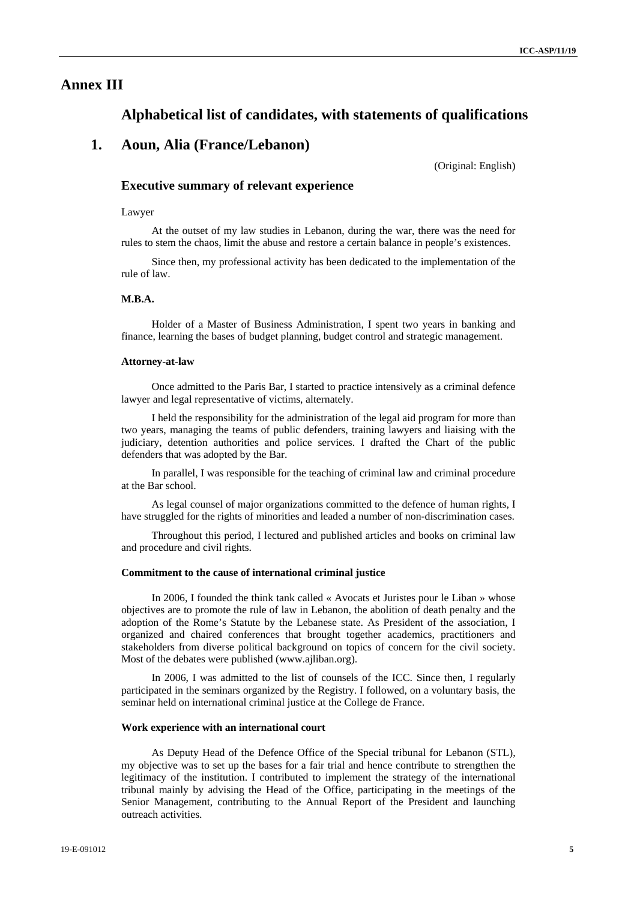### **Annex III**

### **Alphabetical list of candidates, with statements of qualifications**

### **1. Aoun, Alia (France/Lebanon)**

(Original: English)

### **Executive summary of relevant experience**

#### Lawyer

At the outset of my law studies in Lebanon, during the war, there was the need for rules to stem the chaos, limit the abuse and restore a certain balance in people's existences.

Since then, my professional activity has been dedicated to the implementation of the rule of law.

### **M.B.A.**

Holder of a Master of Business Administration, I spent two years in banking and finance, learning the bases of budget planning, budget control and strategic management.

#### **Attorney-at-law**

Once admitted to the Paris Bar, I started to practice intensively as a criminal defence lawyer and legal representative of victims, alternately.

I held the responsibility for the administration of the legal aid program for more than two years, managing the teams of public defenders, training lawyers and liaising with the judiciary, detention authorities and police services. I drafted the Chart of the public defenders that was adopted by the Bar.

In parallel, I was responsible for the teaching of criminal law and criminal procedure at the Bar school.

As legal counsel of major organizations committed to the defence of human rights, I have struggled for the rights of minorities and leaded a number of non-discrimination cases.

Throughout this period, I lectured and published articles and books on criminal law and procedure and civil rights.

#### **Commitment to the cause of international criminal justice**

In 2006, I founded the think tank called « Avocats et Juristes pour le Liban » whose objectives are to promote the rule of law in Lebanon, the abolition of death penalty and the adoption of the Rome's Statute by the Lebanese state. As President of the association, I organized and chaired conferences that brought together academics, practitioners and stakeholders from diverse political background on topics of concern for the civil society. Most of the debates were published (www.ajliban.org).

In 2006, I was admitted to the list of counsels of the ICC. Since then, I regularly participated in the seminars organized by the Registry. I followed, on a voluntary basis, the seminar held on international criminal justice at the College de France.

#### **Work experience with an international court**

As Deputy Head of the Defence Office of the Special tribunal for Lebanon (STL), my objective was to set up the bases for a fair trial and hence contribute to strengthen the legitimacy of the institution. I contributed to implement the strategy of the international tribunal mainly by advising the Head of the Office, participating in the meetings of the Senior Management, contributing to the Annual Report of the President and launching outreach activities.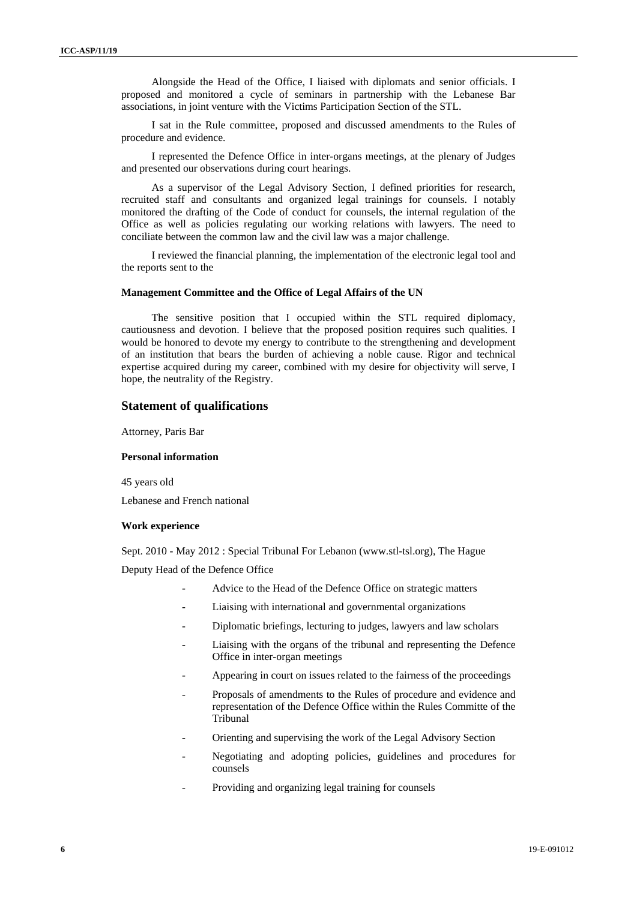Alongside the Head of the Office, I liaised with diplomats and senior officials. I proposed and monitored a cycle of seminars in partnership with the Lebanese Bar associations, in joint venture with the Victims Participation Section of the STL.

I sat in the Rule committee, proposed and discussed amendments to the Rules of procedure and evidence.

I represented the Defence Office in inter-organs meetings, at the plenary of Judges and presented our observations during court hearings.

As a supervisor of the Legal Advisory Section, I defined priorities for research, recruited staff and consultants and organized legal trainings for counsels. I notably monitored the drafting of the Code of conduct for counsels, the internal regulation of the Office as well as policies regulating our working relations with lawyers. The need to conciliate between the common law and the civil law was a major challenge.

I reviewed the financial planning, the implementation of the electronic legal tool and the reports sent to the

#### **Management Committee and the Office of Legal Affairs of the UN**

The sensitive position that I occupied within the STL required diplomacy, cautiousness and devotion. I believe that the proposed position requires such qualities. I would be honored to devote my energy to contribute to the strengthening and development of an institution that bears the burden of achieving a noble cause. Rigor and technical expertise acquired during my career, combined with my desire for objectivity will serve, I hope, the neutrality of the Registry.

### **Statement of qualifications**

Attorney, Paris Bar

### **Personal information**

45 years old

Lebanese and French national

#### **Work experience**

Sept. 2010 - May 2012 : Special Tribunal For Lebanon (www.stl-tsl.org), The Hague

Deputy Head of the Defence Office

- Advice to the Head of the Defence Office on strategic matters
- Liaising with international and governmental organizations
- Diplomatic briefings, lecturing to judges, lawyers and law scholars
- Liaising with the organs of the tribunal and representing the Defence Office in inter-organ meetings
- Appearing in court on issues related to the fairness of the proceedings
- Proposals of amendments to the Rules of procedure and evidence and representation of the Defence Office within the Rules Committe of the Tribunal
- Orienting and supervising the work of the Legal Advisory Section
- Negotiating and adopting policies, guidelines and procedures for counsels
- Providing and organizing legal training for counsels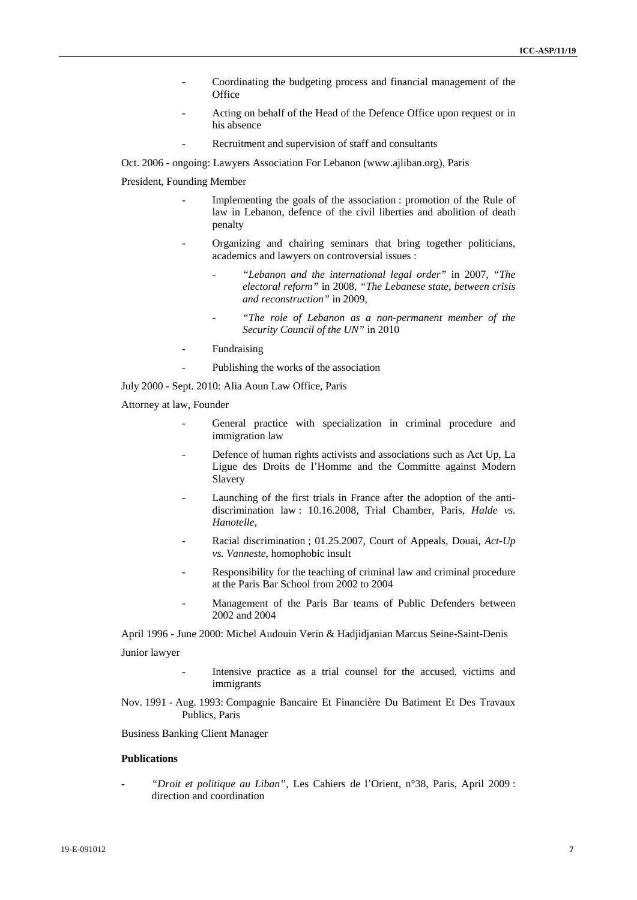- Coordinating the budgeting process and financial management of the **Office**
- Acting on behalf of the Head of the Defence Office upon request or in his absence
- Recruitment and supervision of staff and consultants

Oct. 2006 - ongoing: Lawyers Association For Lebanon (www.ajliban.org), Paris

### President, Founding Member

- Implementing the goals of the association : promotion of the Rule of law in Lebanon, defence of the civil liberties and abolition of death penalty
- Organizing and chairing seminars that bring together politicians, academics and lawyers on controversial issues :
	- *"Lebanon and the international legal order"* in 2007, *"The electoral reform"* in 2008, *"The Lebanese state, between crisis and reconstruction"* in 2009,
	- *"The role of Lebanon as a non-permanent member of the Security Council of the UN"* in 2010
- Fundraising
- Publishing the works of the association

July 2000 - Sept. 2010: Alia Aoun Law Office, Paris

- Attorney at law, Founder
	- General practice with specialization in criminal procedure and immigration law
	- Defence of human rights activists and associations such as Act Up, La Ligue des Droits de l'Homme and the Committe against Modern Slavery
	- Launching of the first trials in France after the adoption of the antidiscrimination law : 10.16.2008, Trial Chamber, Paris, *Halde vs. Hanotelle*,
	- Racial discrimination ; 01.25.2007, Court of Appeals, Douai, *Act-Up vs. Vanneste*, homophobic insult
	- Responsibility for the teaching of criminal law and criminal procedure at the Paris Bar School from 2002 to 2004
	- Management of the Paris Bar teams of Public Defenders between 2002 and 2004

April 1996 - June 2000: Michel Audouin Verin & Hadjidjanian Marcus Seine-Saint-Denis Junior lawyer

- Intensive practice as a trial counsel for the accused, victims and immigrants
- Nov. 1991 Aug. 1993: Compagnie Bancaire Et Financière Du Batiment Et Des Travaux Publics, Paris

Business Banking Client Manager

#### **Publications**

- *"Droit et politique au Liban",* Les Cahiers de l'Orient, n°38, Paris, April 2009 : direction and coordination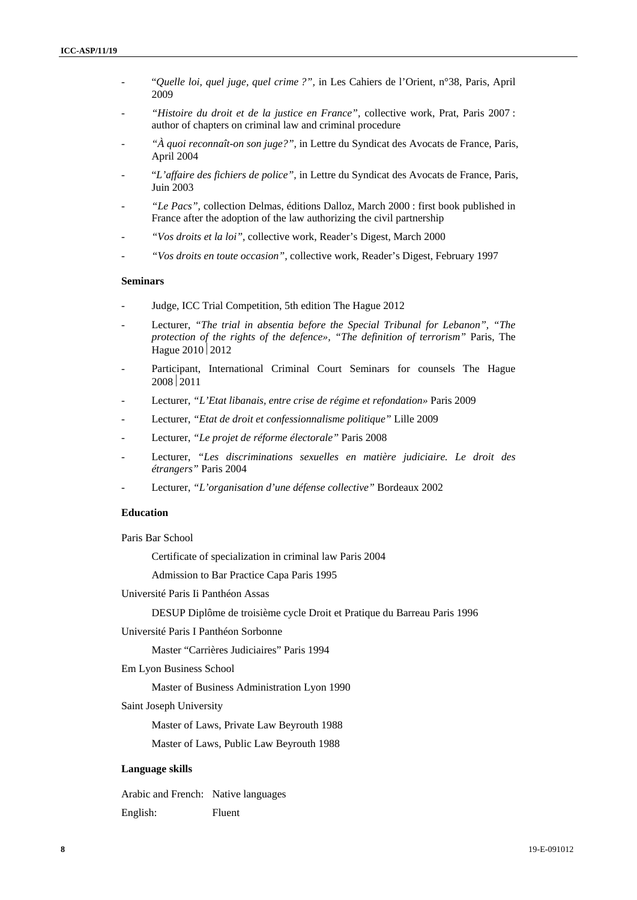- "*Quelle loi, quel juge, quel crime ?",* in Les Cahiers de l'Orient, n°38, Paris, April 2009
- *"Histoire du droit et de la justice en France",* collective work, Prat, Paris 2007 : author of chapters on criminal law and criminal procedure
- "À quoi reconnaît-on son juge?", in Lettre du Syndicat des Avocats de France, Paris, April 2004
- "*L'affaire des fichiers de police",* in Lettre du Syndicat des Avocats de France, Paris, Juin 2003
- "Le Pacs", collection Delmas, éditions Dalloz, March 2000 : first book published in France after the adoption of the law authorizing the civil partnership
- "Vos droits et la loi", collective work, Reader's Digest, March 2000
- "Vos droits en toute occasion", collective work, Reader's Digest, February 1997

#### **Seminars**

- Judge, ICC Trial Competition, 5th edition The Hague 2012
- Lecturer, "The trial in absentia before the Special Tribunal for Lebanon", "The *protection of the rights of the defence», "The definition of terrorism"* Paris, The Hague  $2010$   $2012$
- Participant, International Criminal Court Seminars for counsels The Hague 2008 2011
- Lecturer, "L'Etat libanais, entre crise de régime et refondation» Paris 2009
- Lecturer, *"Etat de droit et confessionnalisme politique"* Lille 2009
- Lecturer, *"Le projet de réforme électorale"* Paris 2008
- Lecturer, "Les discriminations sexuelles en matière judiciaire. Le droit des *étrangers"* Paris 2004
- Lecturer, *"L'organisation d'une défense collective"* Bordeaux 2002

### **Education**

Paris Bar School

Certificate of specialization in criminal law Paris 2004

Admission to Bar Practice Capa Paris 1995

Université Paris Ii Panthéon Assas

DESUP Diplôme de troisième cycle Droit et Pratique du Barreau Paris 1996

Université Paris I Panthéon Sorbonne

Master "Carrières Judiciaires" Paris 1994

Em Lyon Business School

Master of Business Administration Lyon 1990

Saint Joseph University

Master of Laws, Private Law Beyrouth 1988

Master of Laws, Public Law Beyrouth 1988

#### **Language skills**

Arabic and French: Native languages English: Fluent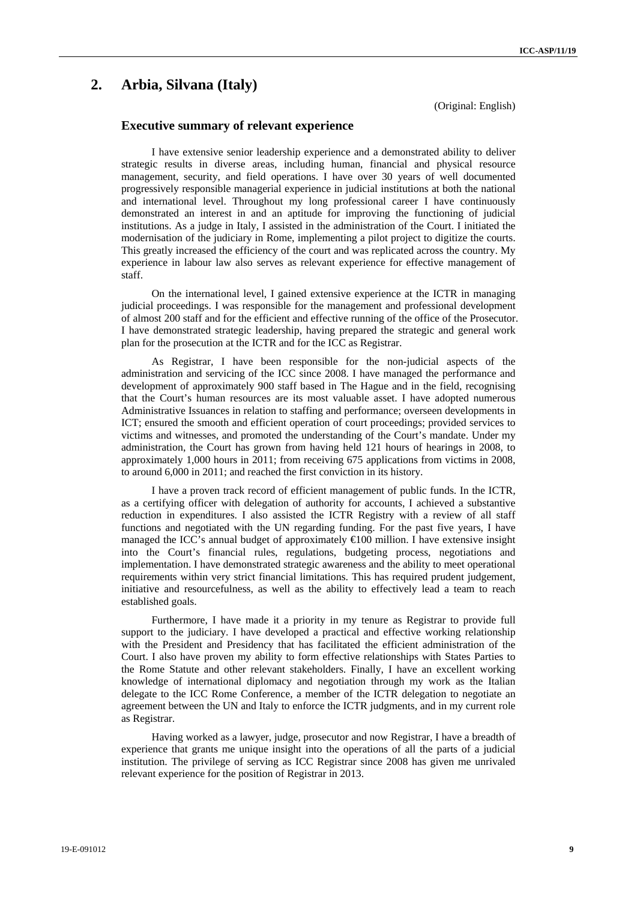## **2. Arbia, Silvana (Italy)**

(Original: English)

### **Executive summary of relevant experience**

I have extensive senior leadership experience and a demonstrated ability to deliver strategic results in diverse areas, including human, financial and physical resource management, security, and field operations. I have over 30 years of well documented progressively responsible managerial experience in judicial institutions at both the national and international level. Throughout my long professional career I have continuously demonstrated an interest in and an aptitude for improving the functioning of judicial institutions. As a judge in Italy, I assisted in the administration of the Court. I initiated the modernisation of the judiciary in Rome, implementing a pilot project to digitize the courts. This greatly increased the efficiency of the court and was replicated across the country. My experience in labour law also serves as relevant experience for effective management of staff.

On the international level, I gained extensive experience at the ICTR in managing judicial proceedings. I was responsible for the management and professional development of almost 200 staff and for the efficient and effective running of the office of the Prosecutor. I have demonstrated strategic leadership, having prepared the strategic and general work plan for the prosecution at the ICTR and for the ICC as Registrar.

As Registrar, I have been responsible for the non-judicial aspects of the administration and servicing of the ICC since 2008. I have managed the performance and development of approximately 900 staff based in The Hague and in the field, recognising that the Court's human resources are its most valuable asset. I have adopted numerous Administrative Issuances in relation to staffing and performance; overseen developments in ICT; ensured the smooth and efficient operation of court proceedings; provided services to victims and witnesses, and promoted the understanding of the Court's mandate. Under my administration, the Court has grown from having held 121 hours of hearings in 2008, to approximately 1,000 hours in 2011; from receiving 675 applications from victims in 2008, to around 6,000 in 2011; and reached the first conviction in its history.

I have a proven track record of efficient management of public funds. In the ICTR, as a certifying officer with delegation of authority for accounts, I achieved a substantive reduction in expenditures. I also assisted the ICTR Registry with a review of all staff functions and negotiated with the UN regarding funding. For the past five years, I have managed the ICC's annual budget of approximately  $\bigoplus$  00 million. I have extensive insight into the Court's financial rules, regulations, budgeting process, negotiations and implementation. I have demonstrated strategic awareness and the ability to meet operational requirements within very strict financial limitations. This has required prudent judgement, initiative and resourcefulness, as well as the ability to effectively lead a team to reach established goals.

Furthermore, I have made it a priority in my tenure as Registrar to provide full support to the judiciary. I have developed a practical and effective working relationship with the President and Presidency that has facilitated the efficient administration of the Court. I also have proven my ability to form effective relationships with States Parties to the Rome Statute and other relevant stakeholders. Finally, I have an excellent working knowledge of international diplomacy and negotiation through my work as the Italian delegate to the ICC Rome Conference, a member of the ICTR delegation to negotiate an agreement between the UN and Italy to enforce the ICTR judgments, and in my current role as Registrar.

Having worked as a lawyer, judge, prosecutor and now Registrar, I have a breadth of experience that grants me unique insight into the operations of all the parts of a judicial institution. The privilege of serving as ICC Registrar since 2008 has given me unrivaled relevant experience for the position of Registrar in 2013.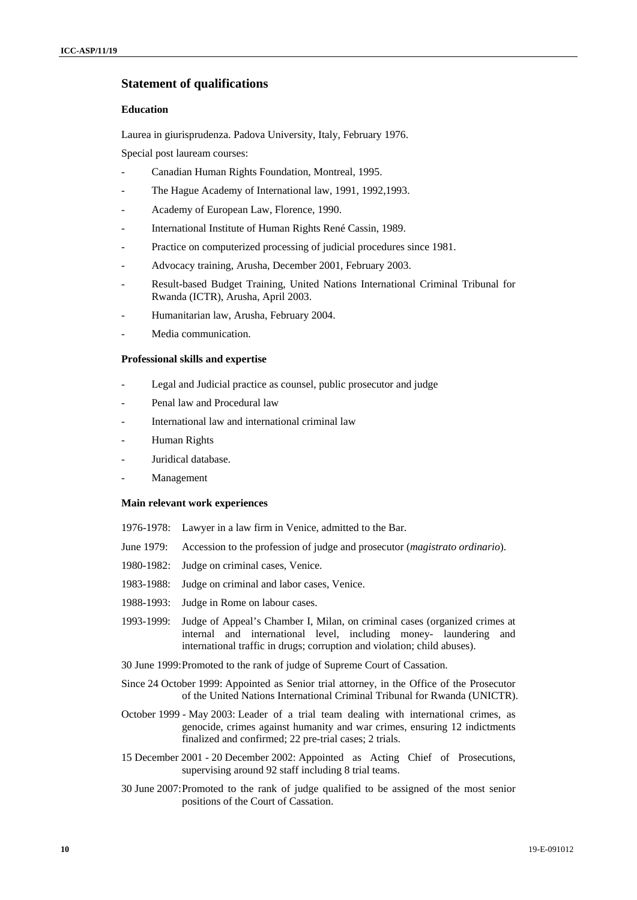### **Statement of qualifications**

### **Education**

Laurea in giurisprudenza. Padova University, Italy, February 1976.

Special post lauream courses:

- Canadian Human Rights Foundation, Montreal, 1995.
- The Hague Academy of International law, 1991, 1992, 1993.
- Academy of European Law, Florence, 1990.
- International Institute of Human Rights René Cassin, 1989.
- Practice on computerized processing of judicial procedures since 1981.
- Advocacy training, Arusha, December 2001, February 2003.
- Result-based Budget Training, United Nations International Criminal Tribunal for Rwanda (ICTR), Arusha, April 2003.
- Humanitarian law, Arusha, February 2004.
- Media communication.

#### **Professional skills and expertise**

- Legal and Judicial practice as counsel, public prosecutor and judge
- Penal law and Procedural law
- International law and international criminal law
- Human Rights
- Juridical database.
- Management

#### **Main relevant work experiences**

- 1976-1978: Lawyer in a law firm in Venice, admitted to the Bar.
- June 1979: Accession to the profession of judge and prosecutor (*magistrato ordinario*).
- 1980-1982: Judge on criminal cases, Venice.
- 1983-1988: Judge on criminal and labor cases, Venice.
- 1988-1993: Judge in Rome on labour cases.
- 1993-1999: Judge of Appeal's Chamber I, Milan, on criminal cases (organized crimes at internal and international level, including money- laundering and international traffic in drugs; corruption and violation; child abuses).
- 30 June 1999: Promoted to the rank of judge of Supreme Court of Cassation.
- Since 24 October 1999: Appointed as Senior trial attorney, in the Office of the Prosecutor of the United Nations International Criminal Tribunal for Rwanda (UNICTR).
- October 1999 May 2003: Leader of a trial team dealing with international crimes, as genocide, crimes against humanity and war crimes, ensuring 12 indictments finalized and confirmed; 22 pre-trial cases; 2 trials.
- 15 December 2001 20 December 2002: Appointed as Acting Chief of Prosecutions, supervising around 92 staff including 8 trial teams.
- 30 June 2007: Promoted to the rank of judge qualified to be assigned of the most senior positions of the Court of Cassation.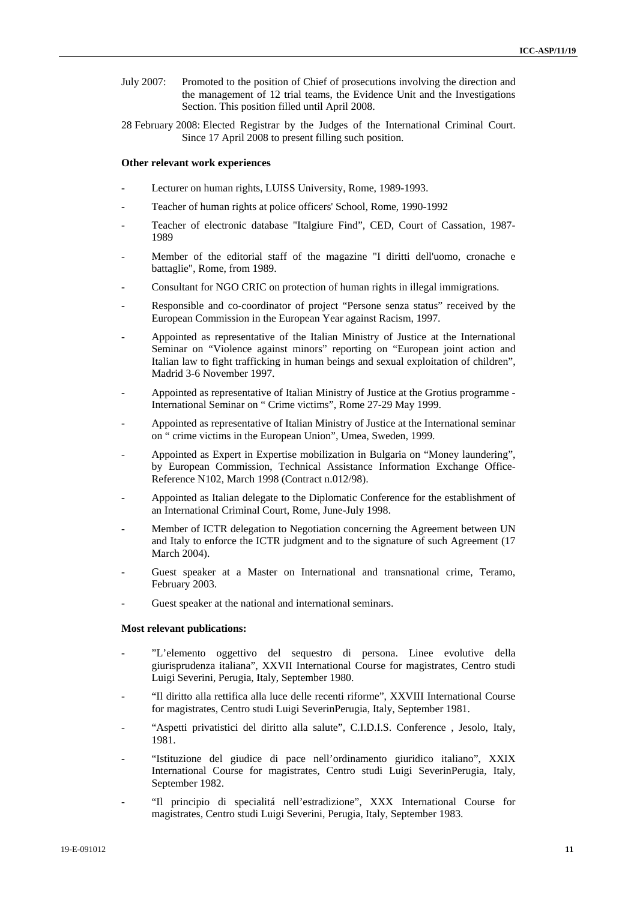- July 2007: Promoted to the position of Chief of prosecutions involving the direction and the management of 12 trial teams, the Evidence Unit and the Investigations Section. This position filled until April 2008.
- 28 February 2008: Elected Registrar by the Judges of the International Criminal Court. Since 17 April 2008 to present filling such position.

#### **Other relevant work experiences**

- Lecturer on human rights, LUISS University, Rome, 1989-1993.
- Teacher of human rights at police officers' School, Rome, 1990-1992
- Teacher of electronic database "Italgiure Find", CED, Court of Cassation, 1987-1989
- Member of the editorial staff of the magazine "I diritti dell'uomo, cronache e battaglie", Rome, from 1989.
- Consultant for NGO CRIC on protection of human rights in illegal immigrations.
- Responsible and co-coordinator of project "Persone senza status" received by the European Commission in the European Year against Racism, 1997.
- Appointed as representative of the Italian Ministry of Justice at the International Seminar on "Violence against minors" reporting on "European joint action and Italian law to fight trafficking in human beings and sexual exploitation of children", Madrid 3-6 November 1997.
- Appointed as representative of Italian Ministry of Justice at the Grotius programme International Seminar on " Crime victims", Rome 27-29 May 1999.
- Appointed as representative of Italian Ministry of Justice at the International seminar on " crime victims in the European Union", Umea, Sweden, 1999.
- Appointed as Expert in Expertise mobilization in Bulgaria on "Money laundering", by European Commission, Technical Assistance Information Exchange Office-Reference N102, March 1998 (Contract n.012/98).
- Appointed as Italian delegate to the Diplomatic Conference for the establishment of an International Criminal Court, Rome, June-July 1998.
- Member of ICTR delegation to Negotiation concerning the Agreement between UN and Italy to enforce the ICTR judgment and to the signature of such Agreement (17 March 2004).
- Guest speaker at a Master on International and transnational crime, Teramo, February 2003.
- Guest speaker at the national and international seminars.

### **Most relevant publications:**

- "L'elemento oggettivo del sequestro di persona. Linee evolutive della giurisprudenza italiana", XXVII International Course for magistrates, Centro studi Luigi Severini, Perugia, Italy, September 1980.
- "Il diritto alla rettifica alla luce delle recenti riforme", XXVIII International Course for magistrates, Centro studi Luigi SeverinPerugia, Italy, September 1981.
- "Aspetti privatistici del diritto alla salute", C.I.D.I.S. Conference , Jesolo, Italy, 1981.
- "Istituzione del giudice di pace nell'ordinamento giuridico italiano", XXIX International Course for magistrates, Centro studi Luigi SeverinPerugia, Italy, September 1982.
- "Il principio di specialitá nell'estradizione", XXX International Course for magistrates, Centro studi Luigi Severini, Perugia, Italy, September 1983.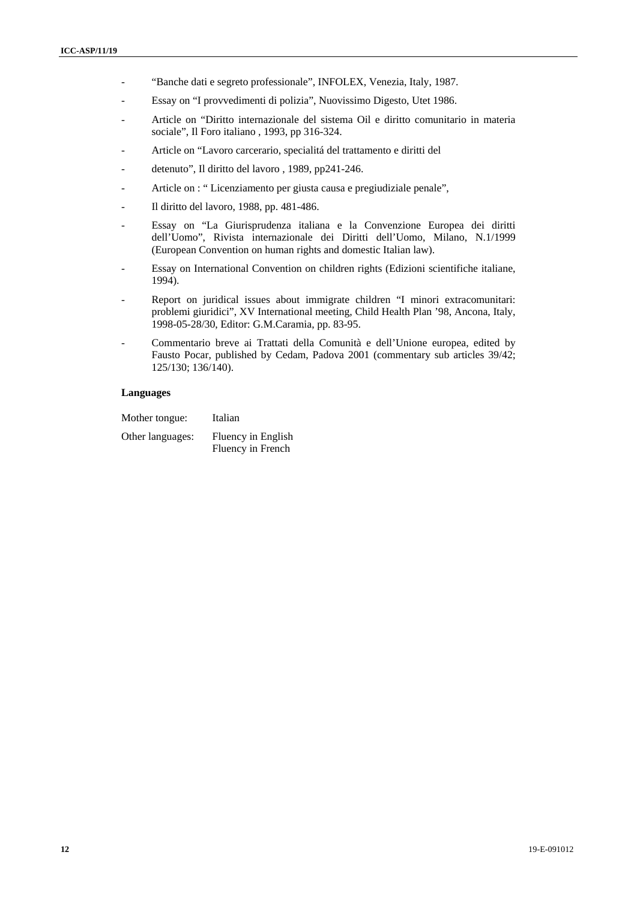- "Banche dati e segreto professionale", INFOLEX, Venezia, Italy, 1987.
- Essay on "I provvedimenti di polizia", Nuovissimo Digesto, Utet 1986.
- Article on "Diritto internazionale del sistema Oil e diritto comunitario in materia sociale", Il Foro italiano , 1993, pp 316-324.
- Article on "Lavoro carcerario, specialitá del trattamento e diritti del
- detenuto", Il diritto del lavoro , 1989, pp241-246.
- Article on : "Licenziamento per giusta causa e pregiudiziale penale",
- Il diritto del lavoro, 1988, pp. 481-486.
- Essay on "La Giurisprudenza italiana e la Convenzione Europea dei diritti dell'Uomo", Rivista internazionale dei Diritti dell'Uomo, Milano, N.1/1999 (European Convention on human rights and domestic Italian law).
- Essay on International Convention on children rights (Edizioni scientifiche italiane, 1994).
- Report on juridical issues about immigrate children "I minori extracomunitari: problemi giuridici", XV International meeting, Child Health Plan '98, Ancona, Italy, 1998-05-28/30, Editor: G.M.Caramia, pp. 83-95.
- Commentario breve ai Trattati della Comunità e dell'Unione europea, edited by Fausto Pocar, published by Cedam, Padova 2001 (commentary sub articles 39/42; 125/130; 136/140).

### **Languages**

| Mother tongue: | Italian |
|----------------|---------|
|                |         |

Other languages: Fluency in English Fluency in French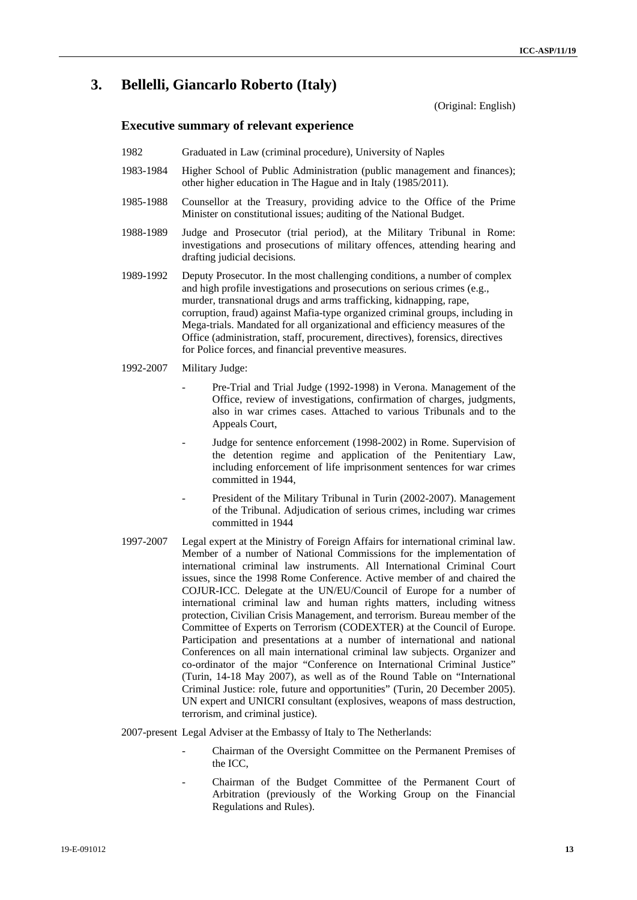## **3. Bellelli, Giancarlo Roberto (Italy)**

(Original: English)

### **Executive summary of relevant experience**

- 1982 Graduated in Law (criminal procedure), University of Naples
- 1983-1984 Higher School of Public Administration (public management and finances); other higher education in The Hague and in Italy (1985/2011).
- 1985-1988 Counsellor at the Treasury, providing advice to the Office of the Prime Minister on constitutional issues; auditing of the National Budget.
- 1988-1989 Judge and Prosecutor (trial period), at the Military Tribunal in Rome: investigations and prosecutions of military offences, attending hearing and drafting judicial decisions.
- 1989-1992 Deputy Prosecutor. In the most challenging conditions, a number of complex and high profile investigations and prosecutions on serious crimes (e.g., murder, transnational drugs and arms trafficking, kidnapping, rape, corruption, fraud) against Mafia-type organized criminal groups, including in Mega-trials. Mandated for all organizational and efficiency measures of the Office (administration, staff, procurement, directives), forensics, directives for Police forces, and financial preventive measures.
- 1992-2007Military Judge:
	- Pre-Trial and Trial Judge (1992-1998) in Verona. Management of the Office, review of investigations, confirmation of charges, judgments, also in war crimes cases. Attached to various Tribunals and to the Appeals Court,
	- Judge for sentence enforcement (1998-2002) in Rome. Supervision of the detention regime and application of the Penitentiary Law, including enforcement of life imprisonment sentences for war crimes committed in 1944,
	- President of the Military Tribunal in Turin (2002-2007). Management of the Tribunal. Adjudication of serious crimes, including war crimes committed in 1944
- 1997-2007 Legal expert at the Ministry of Foreign Affairs for international criminal law. Member of a number of National Commissions for the implementation of international criminal law instruments. All International Criminal Court issues, since the 1998 Rome Conference. Active member of and chaired the COJUR-ICC. Delegate at the UN/EU/Council of Europe for a number of international criminal law and human rights matters, including witness protection, Civilian Crisis Management, and terrorism. Bureau member of the Committee of Experts on Terrorism (CODEXTER) at the Council of Europe. Participation and presentations at a number of international and national Conferences on all main international criminal law subjects. Organizer and co-ordinator of the major "Conference on International Criminal Justice" (Turin, 14-18 May 2007), as well as of the Round Table on "International Criminal Justice: role, future and opportunities" (Turin, 20 December 2005). UN expert and UNICRI consultant (explosives, weapons of mass destruction, terrorism, and criminal justice).
- 2007-present Legal Adviser at the Embassy of Italy to The Netherlands:
	- Chairman of the Oversight Committee on the Permanent Premises of the ICC,
	- Chairman of the Budget Committee of the Permanent Court of Arbitration (previously of the Working Group on the Financial Regulations and Rules).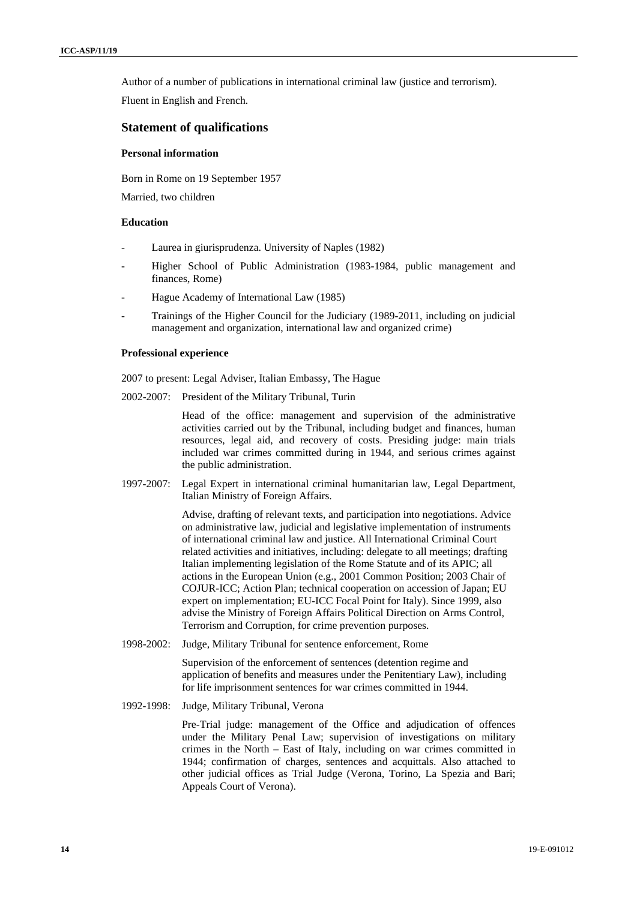Author of a number of publications in international criminal law (justice and terrorism).

Fluent in English and French.

### **Statement of qualifications**

### **Personal information**

Born in Rome on 19 September 1957

Married, two children

### **Education**

- Laurea in giurisprudenza. University of Naples (1982)
- Higher School of Public Administration (1983-1984, public management and finances, Rome)
- Hague Academy of International Law (1985)
- Trainings of the Higher Council for the Judiciary (1989-2011, including on judicial management and organization, international law and organized crime)

#### **Professional experience**

2007 to present: Legal Adviser, Italian Embassy, The Hague

2002-2007: President of the Military Tribunal, Turin

Head of the office: management and supervision of the administrative activities carried out by the Tribunal, including budget and finances, human resources, legal aid, and recovery of costs. Presiding judge: main trials included war crimes committed during in 1944, and serious crimes against the public administration.

1997-2007: Legal Expert in international criminal humanitarian law, Legal Department, Italian Ministry of Foreign Affairs.

> Advise, drafting of relevant texts, and participation into negotiations. Advice on administrative law, judicial and legislative implementation of instruments of international criminal law and justice. All International Criminal Court related activities and initiatives, including: delegate to all meetings; drafting Italian implementing legislation of the Rome Statute and of its APIC; all actions in the European Union (e.g., 2001 Common Position; 2003 Chair of COJUR-ICC; Action Plan; technical cooperation on accession of Japan; EU expert on implementation; EU-ICC Focal Point for Italy). Since 1999, also advise the Ministry of Foreign Affairs Political Direction on Arms Control, Terrorism and Corruption, for crime prevention purposes.

1998-2002: Judge, Military Tribunal for sentence enforcement, Rome

Supervision of the enforcement of sentences (detention regime and application of benefits and measures under the Penitentiary Law), including for life imprisonment sentences for war crimes committed in 1944.

1992-1998: Judge, Military Tribunal, Verona

Pre-Trial judge: management of the Office and adjudication of offences under the Military Penal Law; supervision of investigations on military crimes in the North – East of Italy, including on war crimes committed in 1944; confirmation of charges, sentences and acquittals. Also attached to other judicial offices as Trial Judge (Verona, Torino, La Spezia and Bari; Appeals Court of Verona).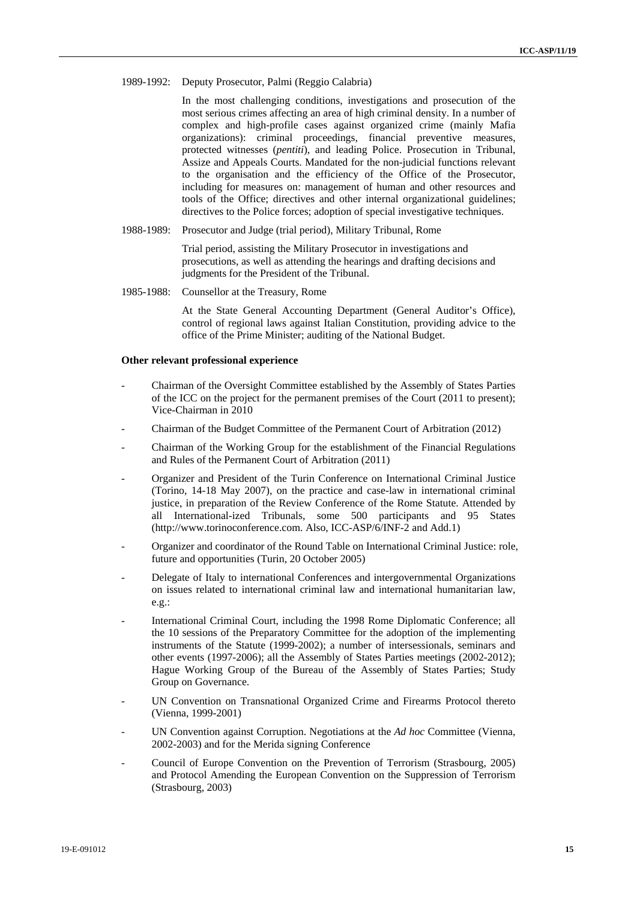1989-1992: Deputy Prosecutor, Palmi (Reggio Calabria)

In the most challenging conditions, investigations and prosecution of the most serious crimes affecting an area of high criminal density. In a number of complex and high-profile cases against organized crime (mainly Mafia organizations): criminal proceedings, financial preventive measures, protected witnesses (*pentiti*), and leading Police. Prosecution in Tribunal, Assize and Appeals Courts. Mandated for the non-judicial functions relevant to the organisation and the efficiency of the Office of the Prosecutor, including for measures on: management of human and other resources and tools of the Office; directives and other internal organizational guidelines; directives to the Police forces; adoption of special investigative techniques.

1988-1989: Prosecutor and Judge (trial period), Military Tribunal, Rome

Trial period, assisting the Military Prosecutor in investigations and prosecutions, as well as attending the hearings and drafting decisions and judgments for the President of the Tribunal.

1985-1988: Counsellor at the Treasury, Rome

At the State General Accounting Department (General Auditor's Office), control of regional laws against Italian Constitution, providing advice to the office of the Prime Minister; auditing of the National Budget.

#### **Other relevant professional experience**

- Chairman of the Oversight Committee established by the Assembly of States Parties of the ICC on the project for the permanent premises of the Court (2011 to present); Vice-Chairman in 2010
- Chairman of the Budget Committee of the Permanent Court of Arbitration (2012)
- Chairman of the Working Group for the establishment of the Financial Regulations and Rules of the Permanent Court of Arbitration (2011)
- Organizer and President of the Turin Conference on International Criminal Justice (Torino, 14-18 May 2007), on the practice and case-law in international criminal justice, in preparation of the Review Conference of the Rome Statute. Attended by all International-ized Tribunals, some 500 participants and 95 States (http://www.torinoconference.com. Also, ICC-ASP/6/INF-2 and Add.1)
- Organizer and coordinator of the Round Table on International Criminal Justice: role, future and opportunities (Turin, 20 October 2005)
- Delegate of Italy to international Conferences and intergovernmental Organizations on issues related to international criminal law and international humanitarian law, e.g.:
- International Criminal Court, including the 1998 Rome Diplomatic Conference; all the 10 sessions of the Preparatory Committee for the adoption of the implementing instruments of the Statute (1999-2002); a number of intersessionals, seminars and other events (1997-2006); all the Assembly of States Parties meetings (2002-2012); Hague Working Group of the Bureau of the Assembly of States Parties; Study Group on Governance.
- UN Convention on Transnational Organized Crime and Firearms Protocol thereto (Vienna, 1999-2001)
- UN Convention against Corruption. Negotiations at the *Ad hoc* Committee (Vienna, 2002-2003) and for the Merida signing Conference
- Council of Europe Convention on the Prevention of Terrorism (Strasbourg, 2005) and Protocol Amending the European Convention on the Suppression of Terrorism (Strasbourg, 2003)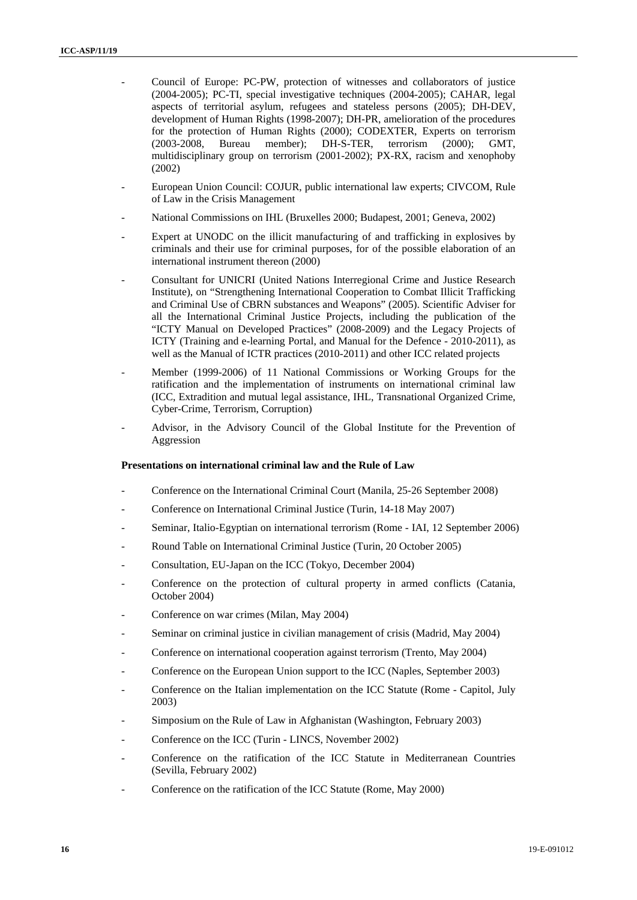- Council of Europe: PC-PW, protection of witnesses and collaborators of justice (2004-2005); PC-TI, special investigative techniques (2004-2005); CAHAR, legal aspects of territorial asylum, refugees and stateless persons (2005); DH-DEV, development of Human Rights (1998-2007); DH-PR, amelioration of the procedures for the protection of Human Rights (2000); CODEXTER, Experts on terrorism (2003-2008, Bureau member); DH-S-TER, terrorism (2000); GMT, multidisciplinary group on terrorism (2001-2002); PX-RX, racism and xenophoby (2002)
- European Union Council: COJUR, public international law experts; CIVCOM, Rule of Law in the Crisis Management
- National Commissions on IHL (Bruxelles 2000; Budapest, 2001; Geneva, 2002)
- Expert at UNODC on the illicit manufacturing of and trafficking in explosives by criminals and their use for criminal purposes, for of the possible elaboration of an international instrument thereon (2000)
- Consultant for UNICRI (United Nations Interregional Crime and Justice Research Institute), on "Strengthening International Cooperation to Combat Illicit Trafficking and Criminal Use of CBRN substances and Weapons" (2005). Scientific Adviser for all the International Criminal Justice Projects, including the publication of the "ICTY Manual on Developed Practices" (2008-2009) and the Legacy Projects of ICTY (Training and e-learning Portal, and Manual for the Defence - 2010-2011), as well as the Manual of ICTR practices (2010-2011) and other ICC related projects
- Member (1999-2006) of 11 National Commissions or Working Groups for the ratification and the implementation of instruments on international criminal law (ICC, Extradition and mutual legal assistance, IHL, Transnational Organized Crime, Cyber-Crime, Terrorism, Corruption)
- Advisor, in the Advisory Council of the Global Institute for the Prevention of Aggression

### **Presentations on international criminal law and the Rule of Law**

- Conference on the International Criminal Court (Manila, 25-26 September 2008)
- Conference on International Criminal Justice (Turin, 14-18 May 2007)
- Seminar, Italio-Egyptian on international terrorism (Rome IAI, 12 September 2006)
- Round Table on International Criminal Justice (Turin, 20 October 2005)
- Consultation, EU-Japan on the ICC (Tokyo, December 2004)
- Conference on the protection of cultural property in armed conflicts (Catania, October 2004)
- Conference on war crimes (Milan, May 2004)
- Seminar on criminal justice in civilian management of crisis (Madrid, May 2004)
- Conference on international cooperation against terrorism (Trento, May 2004)
- Conference on the European Union support to the ICC (Naples, September 2003)
- Conference on the Italian implementation on the ICC Statute (Rome Capitol, July 2003)
- Simposium on the Rule of Law in Afghanistan (Washington, February 2003)
- Conference on the ICC (Turin LINCS, November 2002)
- Conference on the ratification of the ICC Statute in Mediterranean Countries (Sevilla, February 2002)
- Conference on the ratification of the ICC Statute (Rome, May 2000)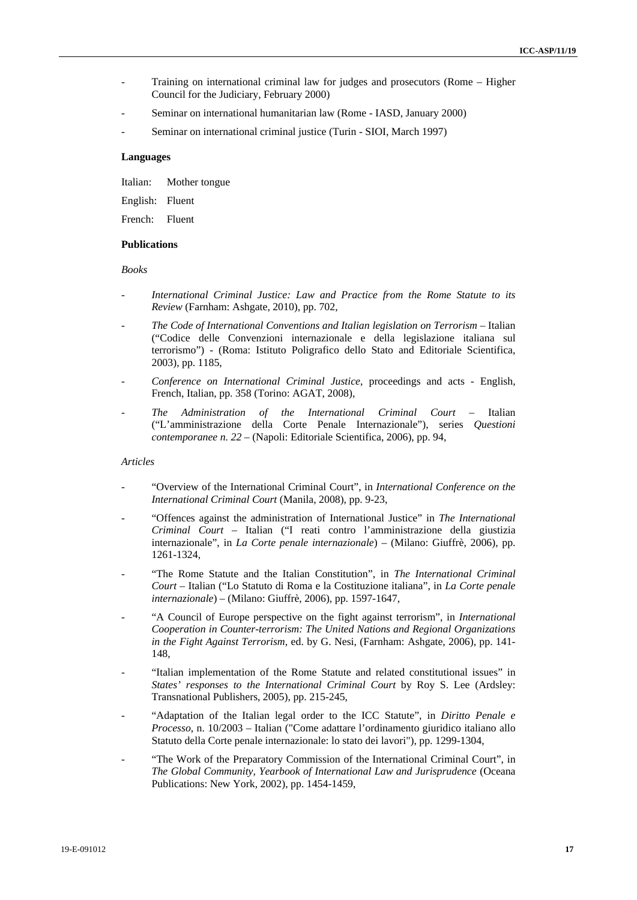- Training on international criminal law for judges and prosecutors (Rome Higher Council for the Judiciary, February 2000)
- Seminar on international humanitarian law (Rome IASD, January 2000)
- Seminar on international criminal justice (Turin SIOI, March 1997)

### **Languages**

Italian: Mother tongue

English: Fluent

French: Fluent

### **Publications**

*Books* 

- *International Criminal Justice: Law and Practice from the Rome Statute to its Review* (Farnham: Ashgate, 2010), pp. 702,
- *The Code of International Conventions and Italian legislation on Terrorism* Italian ("Codice delle Convenzioni internazionale e della legislazione italiana sul terrorismo") - (Roma: Istituto Poligrafico dello Stato and Editoriale Scientifica, 2003), pp. 1185,
- *Conference on International Criminal Justice*, proceedings and acts English, French, Italian, pp. 358 (Torino: AGAT, 2008),
- *The Administration of the International Criminal Court* Italian ("L'amministrazione della Corte Penale Internazionale"), series *Questioni contemporanee n. 22* – (Napoli: Editoriale Scientifica, 2006), pp. 94,

### *Articles*

- "Overview of the International Criminal Court", in *International Conference on the International Criminal Court* (Manila, 2008), pp. 9-23,
- "Offences against the administration of International Justice" in *The International Criminal Court* – Italian ("I reati contro l'amministrazione della giustizia internazionale", in *La Corte penale internazionale*) – (Milano: Giuffrè, 2006), pp. 1261-1324,
- "The Rome Statute and the Italian Constitution", in *The International Criminal Court* – Italian ("Lo Statuto di Roma e la Costituzione italiana", in *La Corte penale internazionale*) – (Milano: Giuffrè, 2006), pp. 1597-1647,
- "A Council of Europe perspective on the fight against terrorism", in *International Cooperation in Counter-terrorism: The United Nations and Regional Organizations in the Fight Against Terrorism*, ed. by G. Nesi, (Farnham: Ashgate, 2006), pp. 141- 148,
- "Italian implementation of the Rome Statute and related constitutional issues" in *States' responses to the International Criminal Court* by Roy S. Lee (Ardsley: Transnational Publishers, 2005), pp. 215-245,
- "Adaptation of the Italian legal order to the ICC Statute", in *Diritto Penale e Processo*, n. 10/2003 – Italian ("Come adattare l'ordinamento giuridico italiano allo Statuto della Corte penale internazionale: lo stato dei lavori"), pp. 1299-1304,
- "The Work of the Preparatory Commission of the International Criminal Court", in *The Global Community, Yearbook of International Law and Jurisprudence* (Oceana Publications: New York, 2002), pp. 1454-1459,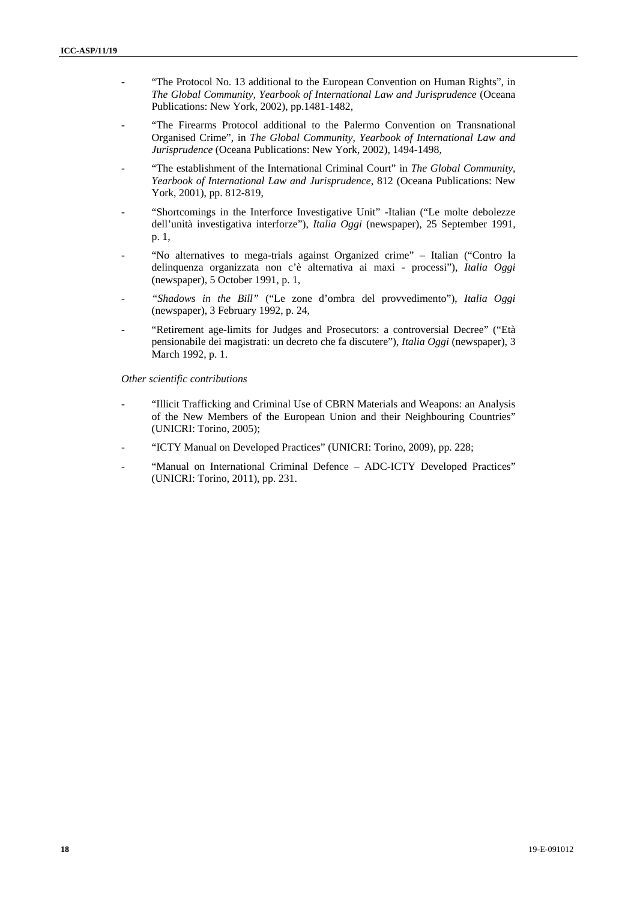- "The Protocol No. 13 additional to the European Convention on Human Rights", in *The Global Community, Yearbook of International Law and Jurisprudence* (Oceana Publications: New York, 2002), pp.1481-1482,
- "The Firearms Protocol additional to the Palermo Convention on Transnational Organised Crime", in *The Global Community, Yearbook of International Law and Jurisprudence* (Oceana Publications: New York, 2002), 1494-1498,
- "The establishment of the International Criminal Court" in *The Global Community*, *Yearbook of International Law and Jurisprudence*, 812 (Oceana Publications: New York, 2001), pp. 812-819,
- "Shortcomings in the Interforce Investigative Unit" -Italian ("Le molte debolezze dell'unità investigativa interforze"), *Italia Oggi* (newspaper), 25 September 1991, p. 1,
- "No alternatives to mega-trials against Organized crime" Italian ("Contro la delinquenza organizzata non c'è alternativa ai maxi - processi"), *Italia Oggi* (newspaper), 5 October 1991, p. 1,
- *"Shadows in the Bill"* ("Le zone d'ombra del provvedimento"), *Italia Oggi* (newspaper), 3 February 1992, p. 24,
- "Retirement age-limits for Judges and Prosecutors: a controversial Decree" ("Età pensionabile dei magistrati: un decreto che fa discutere"), *Italia Oggi* (newspaper), 3 March 1992, p. 1.

*Other scientific contributions* 

- "Illicit Trafficking and Criminal Use of CBRN Materials and Weapons: an Analysis of the New Members of the European Union and their Neighbouring Countries" (UNICRI: Torino, 2005);
- "ICTY Manual on Developed Practices" (UNICRI: Torino, 2009), pp. 228;
- "Manual on International Criminal Defence ADC-ICTY Developed Practices" (UNICRI: Torino, 2011), pp. 231.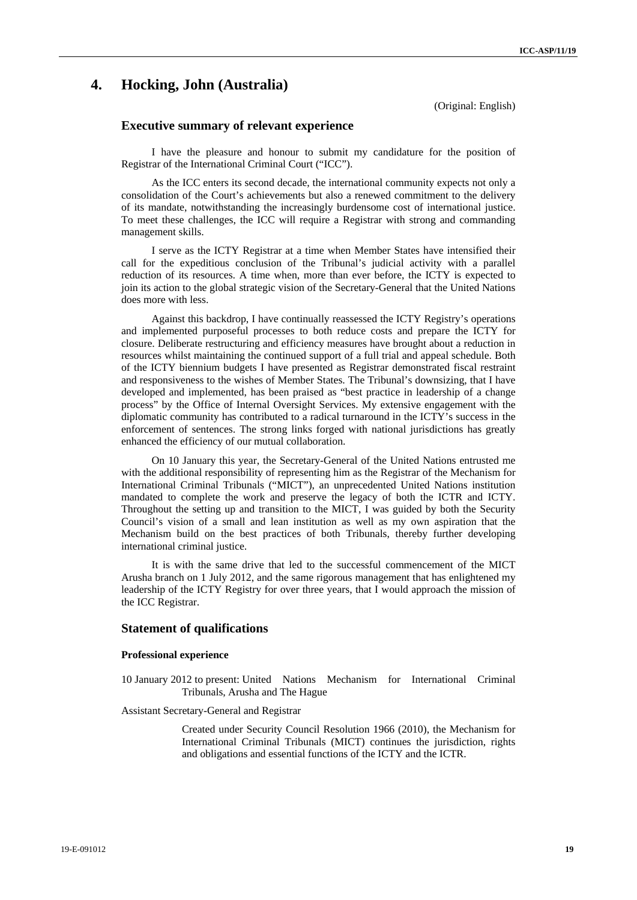## **4. Hocking, John (Australia)**

(Original: English)

### **Executive summary of relevant experience**

I have the pleasure and honour to submit my candidature for the position of Registrar of the International Criminal Court ("ICC").

As the ICC enters its second decade, the international community expects not only a consolidation of the Court's achievements but also a renewed commitment to the delivery of its mandate, notwithstanding the increasingly burdensome cost of international justice. To meet these challenges, the ICC will require a Registrar with strong and commanding management skills.

I serve as the ICTY Registrar at a time when Member States have intensified their call for the expeditious conclusion of the Tribunal's judicial activity with a parallel reduction of its resources. A time when, more than ever before, the ICTY is expected to join its action to the global strategic vision of the Secretary-General that the United Nations does more with less.

Against this backdrop, I have continually reassessed the ICTY Registry's operations and implemented purposeful processes to both reduce costs and prepare the ICTY for closure. Deliberate restructuring and efficiency measures have brought about a reduction in resources whilst maintaining the continued support of a full trial and appeal schedule. Both of the ICTY biennium budgets I have presented as Registrar demonstrated fiscal restraint and responsiveness to the wishes of Member States. The Tribunal's downsizing, that I have developed and implemented, has been praised as "best practice in leadership of a change process" by the Office of Internal Oversight Services. My extensive engagement with the diplomatic community has contributed to a radical turnaround in the ICTY's success in the enforcement of sentences. The strong links forged with national jurisdictions has greatly enhanced the efficiency of our mutual collaboration.

On 10 January this year, the Secretary-General of the United Nations entrusted me with the additional responsibility of representing him as the Registrar of the Mechanism for International Criminal Tribunals ("MICT"), an unprecedented United Nations institution mandated to complete the work and preserve the legacy of both the ICTR and ICTY. Throughout the setting up and transition to the MICT, I was guided by both the Security Council's vision of a small and lean institution as well as my own aspiration that the Mechanism build on the best practices of both Tribunals, thereby further developing international criminal justice.

It is with the same drive that led to the successful commencement of the MICT Arusha branch on 1 July 2012, and the same rigorous management that has enlightened my leadership of the ICTY Registry for over three years, that I would approach the mission of the ICC Registrar.

### **Statement of qualifications**

#### **Professional experience**

10 January 2012 to present: United Nations Mechanism for International Criminal Tribunals, Arusha and The Hague

Assistant Secretary-General and Registrar

Created under Security Council Resolution 1966 (2010), the Mechanism for International Criminal Tribunals (MICT) continues the jurisdiction, rights and obligations and essential functions of the ICTY and the ICTR.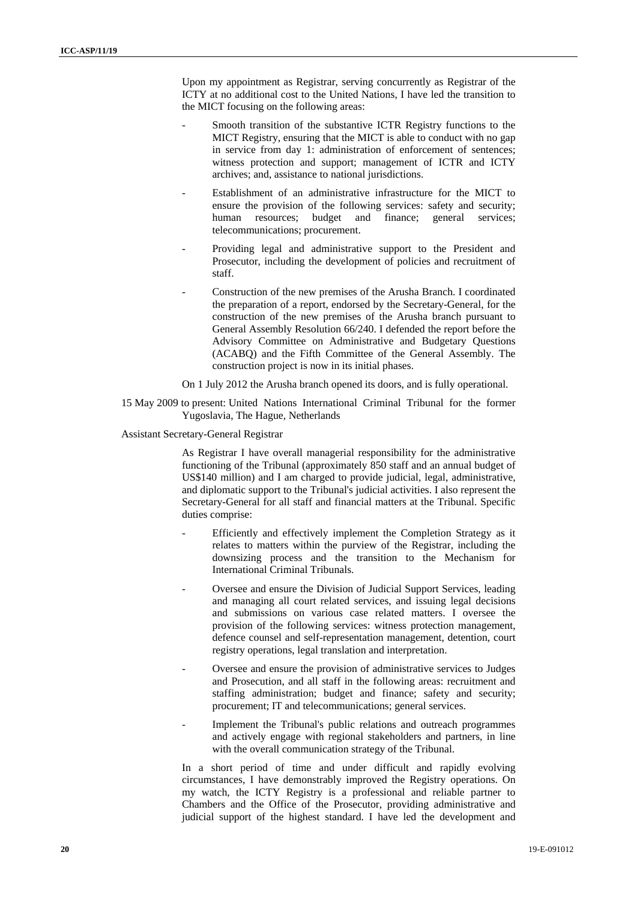Upon my appointment as Registrar, serving concurrently as Registrar of the ICTY at no additional cost to the United Nations, I have led the transition to the MICT focusing on the following areas:

- Smooth transition of the substantive ICTR Registry functions to the MICT Registry, ensuring that the MICT is able to conduct with no gap in service from day 1: administration of enforcement of sentences; witness protection and support; management of ICTR and ICTY archives; and, assistance to national jurisdictions.
- Establishment of an administrative infrastructure for the MICT to ensure the provision of the following services: safety and security; human resources; budget and finance; general services; telecommunications; procurement.
- Providing legal and administrative support to the President and Prosecutor, including the development of policies and recruitment of staff.
- Construction of the new premises of the Arusha Branch. I coordinated the preparation of a report, endorsed by the Secretary-General, for the construction of the new premises of the Arusha branch pursuant to General Assembly Resolution 66/240. I defended the report before the Advisory Committee on Administrative and Budgetary Questions (ACABQ) and the Fifth Committee of the General Assembly. The construction project is now in its initial phases.

#### On 1 July 2012 the Arusha branch opened its doors, and is fully operational.

15 May 2009 to present: United Nations International Criminal Tribunal for the former Yugoslavia, The Hague, Netherlands

#### Assistant Secretary-General Registrar

As Registrar I have overall managerial responsibility for the administrative functioning of the Tribunal (approximately 850 staff and an annual budget of US\$140 million) and I am charged to provide judicial, legal, administrative, and diplomatic support to the Tribunal's judicial activities. I also represent the Secretary-General for all staff and financial matters at the Tribunal. Specific duties comprise:

- Efficiently and effectively implement the Completion Strategy as it relates to matters within the purview of the Registrar, including the downsizing process and the transition to the Mechanism for International Criminal Tribunals.
- Oversee and ensure the Division of Judicial Support Services, leading and managing all court related services, and issuing legal decisions and submissions on various case related matters. I oversee the provision of the following services: witness protection management, defence counsel and self-representation management, detention, court registry operations, legal translation and interpretation.
- Oversee and ensure the provision of administrative services to Judges and Prosecution, and all staff in the following areas: recruitment and staffing administration; budget and finance; safety and security; procurement; IT and telecommunications; general services.
- Implement the Tribunal's public relations and outreach programmes and actively engage with regional stakeholders and partners, in line with the overall communication strategy of the Tribunal.

In a short period of time and under difficult and rapidly evolving circumstances, I have demonstrably improved the Registry operations. On my watch, the ICTY Registry is a professional and reliable partner to Chambers and the Office of the Prosecutor, providing administrative and judicial support of the highest standard. I have led the development and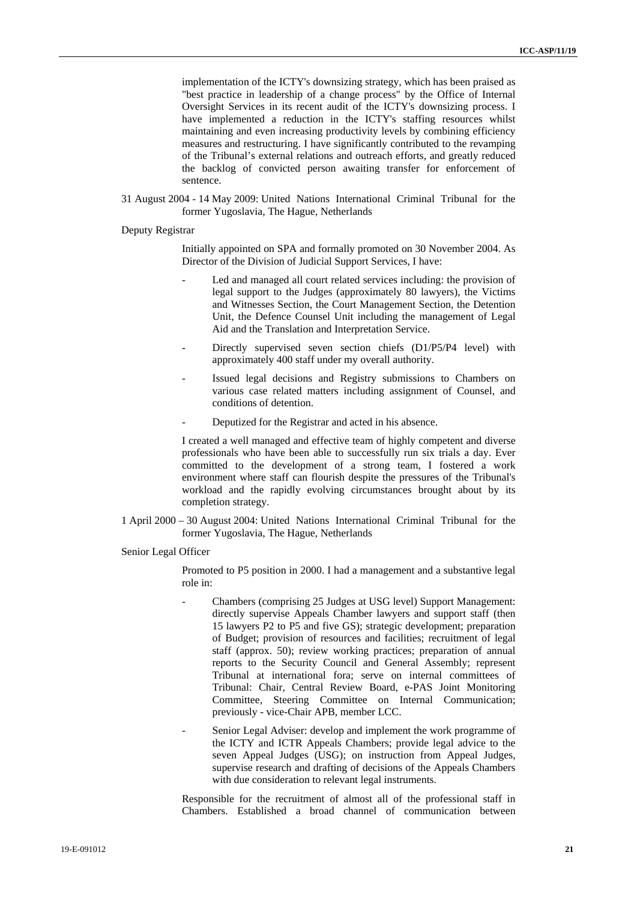implementation of the ICTY's downsizing strategy, which has been praised as "best practice in leadership of a change process" by the Office of Internal Oversight Services in its recent audit of the ICTY's downsizing process. I have implemented a reduction in the ICTY's staffing resources whilst maintaining and even increasing productivity levels by combining efficiency measures and restructuring. I have significantly contributed to the revamping of the Tribunal's external relations and outreach efforts, and greatly reduced the backlog of convicted person awaiting transfer for enforcement of sentence.

31 August 2004 - 14 May 2009: United Nations International Criminal Tribunal for the former Yugoslavia, The Hague, Netherlands

Deputy Registrar

Initially appointed on SPA and formally promoted on 30 November 2004. As Director of the Division of Judicial Support Services, I have:

- Led and managed all court related services including: the provision of legal support to the Judges (approximately 80 lawyers), the Victims and Witnesses Section, the Court Management Section, the Detention Unit, the Defence Counsel Unit including the management of Legal Aid and the Translation and Interpretation Service.
- Directly supervised seven section chiefs (D1/P5/P4 level) with approximately 400 staff under my overall authority.
- Issued legal decisions and Registry submissions to Chambers on various case related matters including assignment of Counsel, and conditions of detention.
- Deputized for the Registrar and acted in his absence.

I created a well managed and effective team of highly competent and diverse professionals who have been able to successfully run six trials a day. Ever committed to the development of a strong team, I fostered a work environment where staff can flourish despite the pressures of the Tribunal's workload and the rapidly evolving circumstances brought about by its completion strategy.

- 1 April 2000 30 August 2004: United Nations International Criminal Tribunal for the former Yugoslavia, The Hague, Netherlands
- Senior Legal Officer

Promoted to P5 position in 2000. I had a management and a substantive legal role in:

- Chambers (comprising 25 Judges at USG level) Support Management: directly supervise Appeals Chamber lawyers and support staff (then 15 lawyers P2 to P5 and five GS); strategic development; preparation of Budget; provision of resources and facilities; recruitment of legal staff (approx. 50); review working practices; preparation of annual reports to the Security Council and General Assembly; represent Tribunal at international fora; serve on internal committees of Tribunal: Chair, Central Review Board, e-PAS Joint Monitoring Committee, Steering Committee on Internal Communication; previously - vice-Chair APB, member LCC.
- Senior Legal Adviser: develop and implement the work programme of the ICTY and ICTR Appeals Chambers; provide legal advice to the seven Appeal Judges (USG); on instruction from Appeal Judges, supervise research and drafting of decisions of the Appeals Chambers with due consideration to relevant legal instruments.

Responsible for the recruitment of almost all of the professional staff in Chambers. Established a broad channel of communication between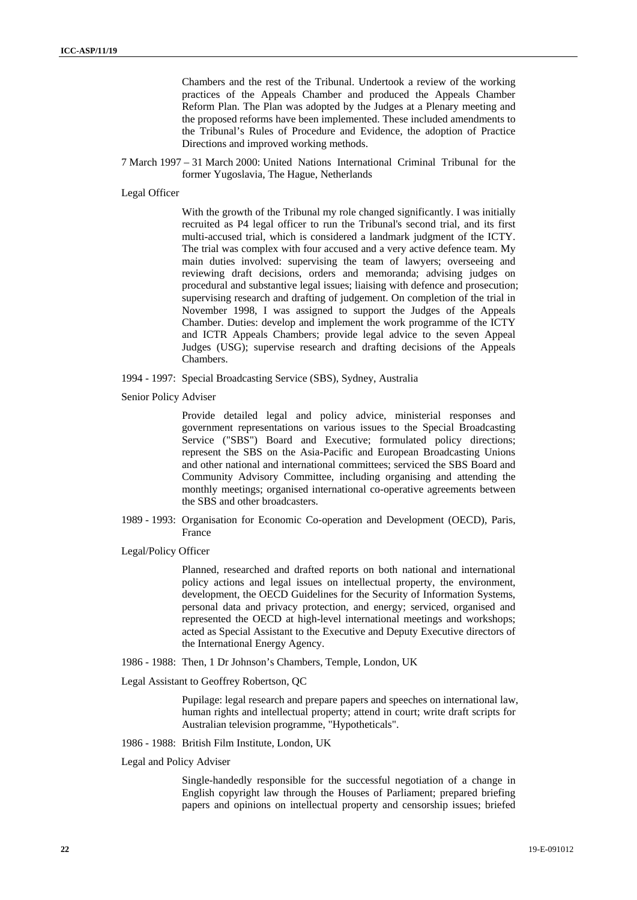Chambers and the rest of the Tribunal. Undertook a review of the working practices of the Appeals Chamber and produced the Appeals Chamber Reform Plan. The Plan was adopted by the Judges at a Plenary meeting and the proposed reforms have been implemented. These included amendments to the Tribunal's Rules of Procedure and Evidence, the adoption of Practice Directions and improved working methods.

7 March 1997 – 31 March 2000: United Nations International Criminal Tribunal for the former Yugoslavia, The Hague, Netherlands

Legal Officer

With the growth of the Tribunal my role changed significantly. I was initially recruited as P4 legal officer to run the Tribunal's second trial, and its first multi-accused trial, which is considered a landmark judgment of the ICTY. The trial was complex with four accused and a very active defence team. My main duties involved: supervising the team of lawyers; overseeing and reviewing draft decisions, orders and memoranda; advising judges on procedural and substantive legal issues; liaising with defence and prosecution; supervising research and drafting of judgement. On completion of the trial in November 1998, I was assigned to support the Judges of the Appeals Chamber. Duties: develop and implement the work programme of the ICTY and ICTR Appeals Chambers; provide legal advice to the seven Appeal Judges (USG); supervise research and drafting decisions of the Appeals Chambers.

- 1994 1997: Special Broadcasting Service (SBS), Sydney, Australia
- Senior Policy Adviser

Provide detailed legal and policy advice, ministerial responses and government representations on various issues to the Special Broadcasting Service ("SBS") Board and Executive; formulated policy directions; represent the SBS on the Asia-Pacific and European Broadcasting Unions and other national and international committees; serviced the SBS Board and Community Advisory Committee, including organising and attending the monthly meetings; organised international co-operative agreements between the SBS and other broadcasters.

- 1989 1993: Organisation for Economic Co-operation and Development (OECD), Paris, France
- Legal/Policy Officer

Planned, researched and drafted reports on both national and international policy actions and legal issues on intellectual property, the environment, development, the OECD Guidelines for the Security of Information Systems, personal data and privacy protection, and energy; serviced, organised and represented the OECD at high-level international meetings and workshops; acted as Special Assistant to the Executive and Deputy Executive directors of the International Energy Agency.

- 1986 1988: Then, 1 Dr Johnson's Chambers, Temple, London, UK
- Legal Assistant to Geoffrey Robertson, QC

Pupilage: legal research and prepare papers and speeches on international law, human rights and intellectual property; attend in court; write draft scripts for Australian television programme, "Hypotheticals".

- 1986 1988: British Film Institute, London, UK
- Legal and Policy Adviser

Single-handedly responsible for the successful negotiation of a change in English copyright law through the Houses of Parliament; prepared briefing papers and opinions on intellectual property and censorship issues; briefed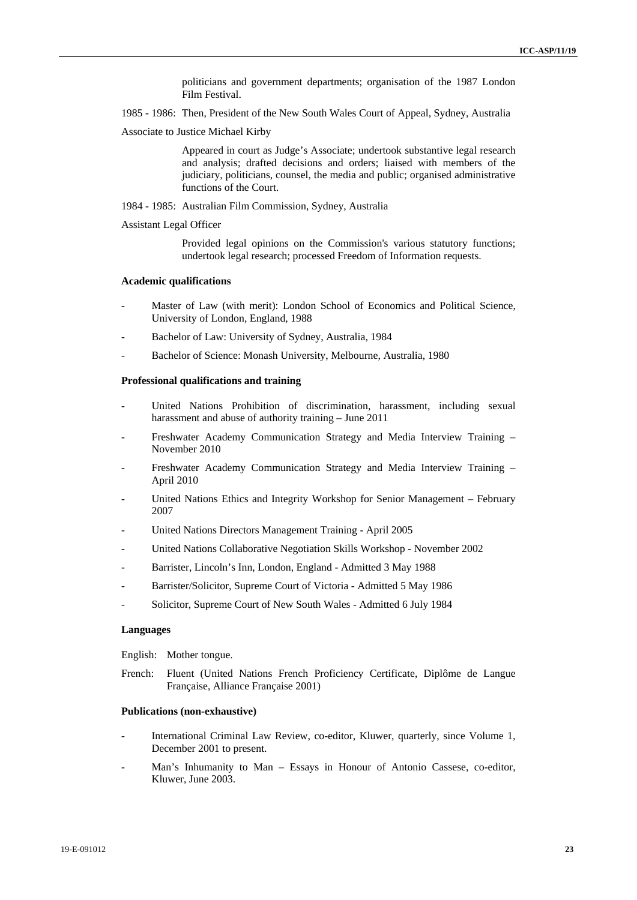politicians and government departments; organisation of the 1987 London Film Festival.

- 1985 1986: Then, President of the New South Wales Court of Appeal, Sydney, Australia
- Associate to Justice Michael Kirby

Appeared in court as Judge's Associate; undertook substantive legal research and analysis; drafted decisions and orders; liaised with members of the judiciary, politicians, counsel, the media and public; organised administrative functions of the Court.

1984 - 1985: Australian Film Commission, Sydney, Australia

Assistant Legal Officer

Provided legal opinions on the Commission's various statutory functions; undertook legal research; processed Freedom of Information requests.

#### **Academic qualifications**

- Master of Law (with merit): London School of Economics and Political Science, University of London, England, 1988
- Bachelor of Law: University of Sydney, Australia, 1984
- Bachelor of Science: Monash University, Melbourne, Australia, 1980

### **Professional qualifications and training**

- United Nations Prohibition of discrimination, harassment, including sexual harassment and abuse of authority training – June 2011
- Freshwater Academy Communication Strategy and Media Interview Training November 2010
- Freshwater Academy Communication Strategy and Media Interview Training April 2010
- United Nations Ethics and Integrity Workshop for Senior Management February 2007
- United Nations Directors Management Training April 2005
- United Nations Collaborative Negotiation Skills Workshop November 2002
- Barrister, Lincoln's Inn, London, England Admitted 3 May 1988
- Barrister/Solicitor, Supreme Court of Victoria Admitted 5 May 1986
- Solicitor, Supreme Court of New South Wales Admitted 6 July 1984

#### **Languages**

English: Mother tongue.

French: Fluent (United Nations French Proficiency Certificate, Diplôme de Langue Française, Alliance Française 2001)

#### **Publications (non-exhaustive)**

- International Criminal Law Review, co-editor, Kluwer, quarterly, since Volume 1, December 2001 to present.
- Man's Inhumanity to Man Essays in Honour of Antonio Cassese, co-editor, Kluwer, June 2003.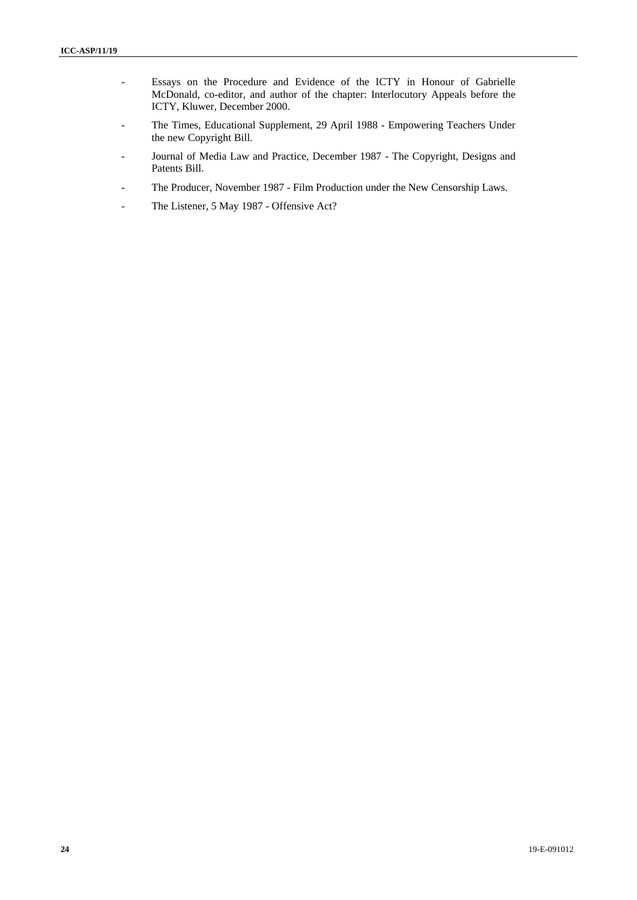- Essays on the Procedure and Evidence of the ICTY in Honour of Gabrielle McDonald, co-editor, and author of the chapter: Interlocutory Appeals before the ICTY, Kluwer, December 2000.
- The Times, Educational Supplement, 29 April 1988 Empowering Teachers Under the new Copyright Bill.
- Journal of Media Law and Practice, December 1987 The Copyright, Designs and Patents Bill.
- The Producer, November 1987 Film Production under the New Censorship Laws.
- The Listener, 5 May 1987 Offensive Act?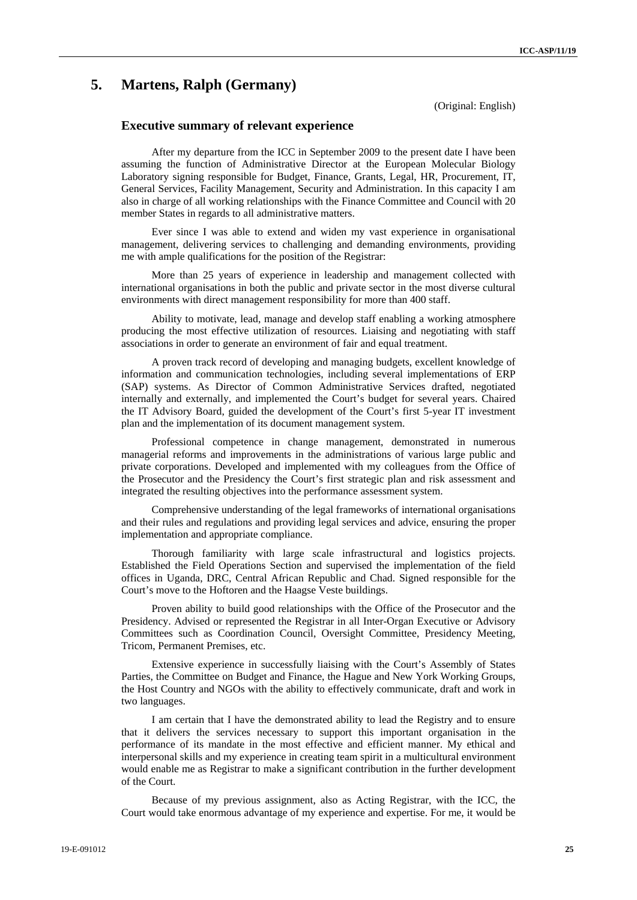## **5. Martens, Ralph (Germany)**

(Original: English)

### **Executive summary of relevant experience**

After my departure from the ICC in September 2009 to the present date I have been assuming the function of Administrative Director at the European Molecular Biology Laboratory signing responsible for Budget, Finance, Grants, Legal, HR, Procurement, IT, General Services, Facility Management, Security and Administration. In this capacity I am also in charge of all working relationships with the Finance Committee and Council with 20 member States in regards to all administrative matters.

Ever since I was able to extend and widen my vast experience in organisational management, delivering services to challenging and demanding environments, providing me with ample qualifications for the position of the Registrar:

More than 25 years of experience in leadership and management collected with international organisations in both the public and private sector in the most diverse cultural environments with direct management responsibility for more than 400 staff.

Ability to motivate, lead, manage and develop staff enabling a working atmosphere producing the most effective utilization of resources. Liaising and negotiating with staff associations in order to generate an environment of fair and equal treatment.

A proven track record of developing and managing budgets, excellent knowledge of information and communication technologies, including several implementations of ERP (SAP) systems. As Director of Common Administrative Services drafted, negotiated internally and externally, and implemented the Court's budget for several years. Chaired the IT Advisory Board, guided the development of the Court's first 5-year IT investment plan and the implementation of its document management system.

Professional competence in change management, demonstrated in numerous managerial reforms and improvements in the administrations of various large public and private corporations. Developed and implemented with my colleagues from the Office of the Prosecutor and the Presidency the Court's first strategic plan and risk assessment and integrated the resulting objectives into the performance assessment system.

Comprehensive understanding of the legal frameworks of international organisations and their rules and regulations and providing legal services and advice, ensuring the proper implementation and appropriate compliance.

Thorough familiarity with large scale infrastructural and logistics projects. Established the Field Operations Section and supervised the implementation of the field offices in Uganda, DRC, Central African Republic and Chad. Signed responsible for the Court's move to the Hoftoren and the Haagse Veste buildings.

Proven ability to build good relationships with the Office of the Prosecutor and the Presidency. Advised or represented the Registrar in all Inter-Organ Executive or Advisory Committees such as Coordination Council, Oversight Committee, Presidency Meeting, Tricom, Permanent Premises, etc.

Extensive experience in successfully liaising with the Court's Assembly of States Parties, the Committee on Budget and Finance, the Hague and New York Working Groups, the Host Country and NGOs with the ability to effectively communicate, draft and work in two languages.

I am certain that I have the demonstrated ability to lead the Registry and to ensure that it delivers the services necessary to support this important organisation in the performance of its mandate in the most effective and efficient manner. My ethical and interpersonal skills and my experience in creating team spirit in a multicultural environment would enable me as Registrar to make a significant contribution in the further development of the Court.

Because of my previous assignment, also as Acting Registrar, with the ICC, the Court would take enormous advantage of my experience and expertise. For me, it would be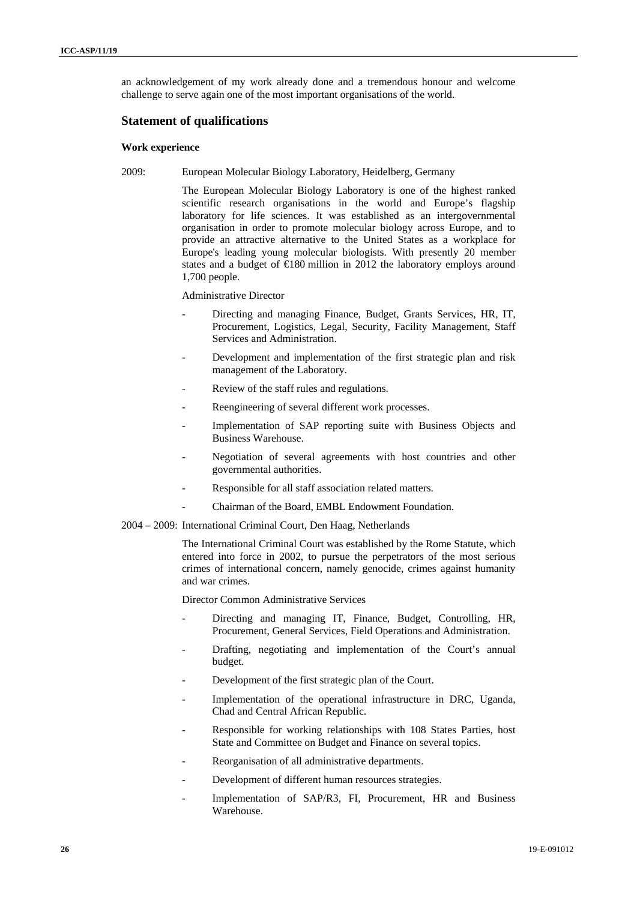an acknowledgement of my work already done and a tremendous honour and welcome challenge to serve again one of the most important organisations of the world.

### **Statement of qualifications**

### **Work experience**

2009: European Molecular Biology Laboratory, Heidelberg, Germany

The European Molecular Biology Laboratory is one of the highest ranked scientific research organisations in the world and Europe's flagship laboratory for life sciences. It was established as an intergovernmental organisation in order to promote molecular biology across Europe, and to provide an attractive alternative to the United States as a workplace for Europe's leading young molecular biologists. With presently 20 member states and a budget of €180 million in 2012 the laboratory employs around 1,700 people.

Administrative Director

- Directing and managing Finance, Budget, Grants Services, HR, IT, Procurement, Logistics, Legal, Security, Facility Management, Staff Services and Administration.
- Development and implementation of the first strategic plan and risk management of the Laboratory.
- Review of the staff rules and regulations.
- Reengineering of several different work processes.
- Implementation of SAP reporting suite with Business Objects and Business Warehouse.
- Negotiation of several agreements with host countries and other governmental authorities.
- Responsible for all staff association related matters.
	- Chairman of the Board, EMBL Endowment Foundation.
- 2004 2009: International Criminal Court, Den Haag, Netherlands

The International Criminal Court was established by the Rome Statute, which entered into force in 2002, to pursue the perpetrators of the most serious crimes of international concern, namely genocide, crimes against humanity and war crimes.

Director Common Administrative Services

- Directing and managing IT, Finance, Budget, Controlling, HR, Procurement, General Services, Field Operations and Administration.
- Drafting, negotiating and implementation of the Court's annual budget.
- Development of the first strategic plan of the Court.
- Implementation of the operational infrastructure in DRC, Uganda, Chad and Central African Republic.
- Responsible for working relationships with 108 States Parties, host State and Committee on Budget and Finance on several topics.
- Reorganisation of all administrative departments.
- Development of different human resources strategies.
- Implementation of SAP/R3, FI, Procurement, HR and Business Warehouse.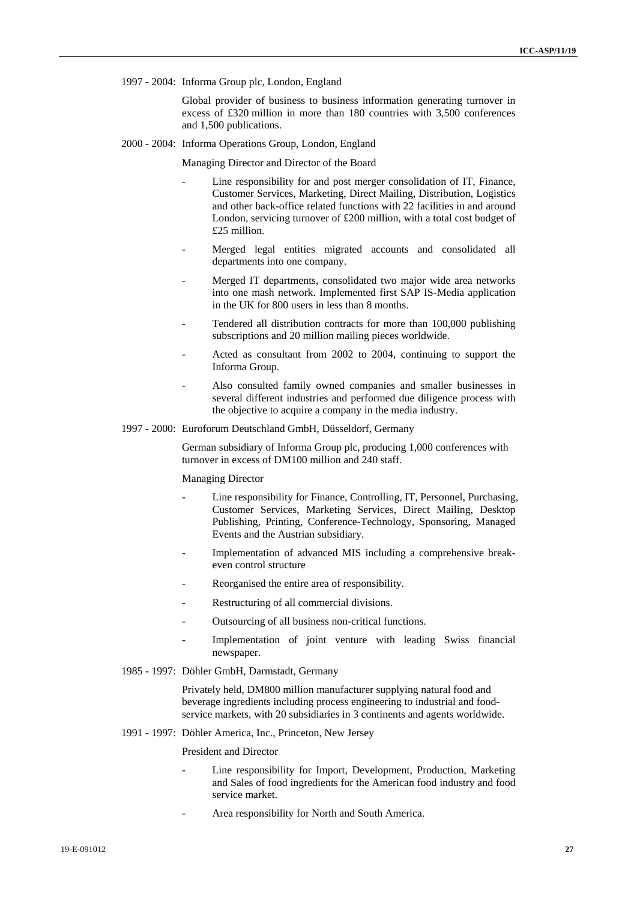1997 - 2004: Informa Group plc, London, England

Global provider of business to business information generating turnover in excess of £320 million in more than 180 countries with 3,500 conferences and 1,500 publications.

2000 - 2004: Informa Operations Group, London, England

Managing Director and Director of the Board

- Line responsibility for and post merger consolidation of IT, Finance, Customer Services, Marketing, Direct Mailing, Distribution, Logistics and other back-office related functions with 22 facilities in and around London, servicing turnover of £200 million, with a total cost budget of £25 million.
- Merged legal entities migrated accounts and consolidated all departments into one company.
- Merged IT departments, consolidated two major wide area networks into one mash network. Implemented first SAP IS-Media application in the UK for 800 users in less than 8 months.
- Tendered all distribution contracts for more than 100,000 publishing subscriptions and 20 million mailing pieces worldwide.
- Acted as consultant from 2002 to 2004, continuing to support the Informa Group.
- Also consulted family owned companies and smaller businesses in several different industries and performed due diligence process with the objective to acquire a company in the media industry.
- 1997 2000: Euroforum Deutschland GmbH, Düsseldorf, Germany

German subsidiary of Informa Group plc, producing 1,000 conferences with turnover in excess of DM100 million and 240 staff.

#### Managing Director

- Line responsibility for Finance, Controlling, IT, Personnel, Purchasing, Customer Services, Marketing Services, Direct Mailing, Desktop Publishing, Printing, Conference-Technology, Sponsoring, Managed Events and the Austrian subsidiary.
- Implementation of advanced MIS including a comprehensive breakeven control structure
- Reorganised the entire area of responsibility.
- Restructuring of all commercial divisions.
- Outsourcing of all business non-critical functions.
- Implementation of joint venture with leading Swiss financial newspaper.
- 1985 1997: Döhler GmbH, Darmstadt, Germany

Privately held, DM800 million manufacturer supplying natural food and beverage ingredients including process engineering to industrial and foodservice markets, with 20 subsidiaries in 3 continents and agents worldwide.

1991 - 1997: Döhler America, Inc., Princeton, New Jersey

President and Director

- Line responsibility for Import, Development, Production, Marketing and Sales of food ingredients for the American food industry and food service market.
- Area responsibility for North and South America.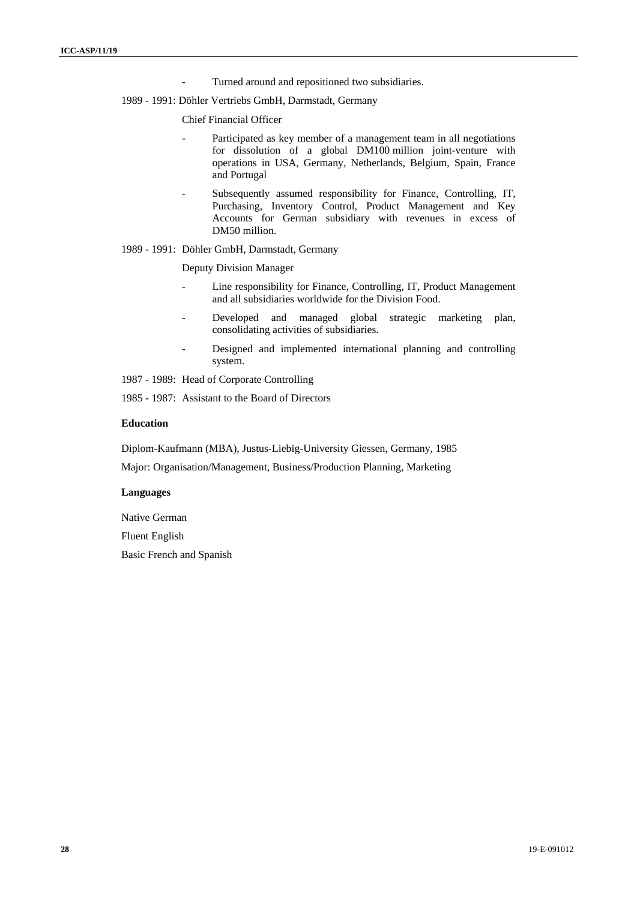- Turned around and repositioned two subsidiaries.
- 1989 1991: Döhler Vertriebs GmbH, Darmstadt, Germany

#### Chief Financial Officer

- Participated as key member of a management team in all negotiations for dissolution of a global DM100 million joint-venture with operations in USA, Germany, Netherlands, Belgium, Spain, France and Portugal
- Subsequently assumed responsibility for Finance, Controlling, IT, Purchasing, Inventory Control, Product Management and Key Accounts for German subsidiary with revenues in excess of DM50 million.

### 1989 - 1991: Döhler GmbH, Darmstadt, Germany

#### Deputy Division Manager

- Line responsibility for Finance, Controlling, IT, Product Management and all subsidiaries worldwide for the Division Food.
- Developed and managed global strategic marketing plan, consolidating activities of subsidiaries.
- Designed and implemented international planning and controlling system.
- 1987 1989: Head of Corporate Controlling
- 1985 1987: Assistant to the Board of Directors

### **Education**

Diplom-Kaufmann (MBA), Justus-Liebig-University Giessen, Germany, 1985

Major: Organisation/Management, Business/Production Planning, Marketing

### **Languages**

Native German

Fluent English

Basic French and Spanish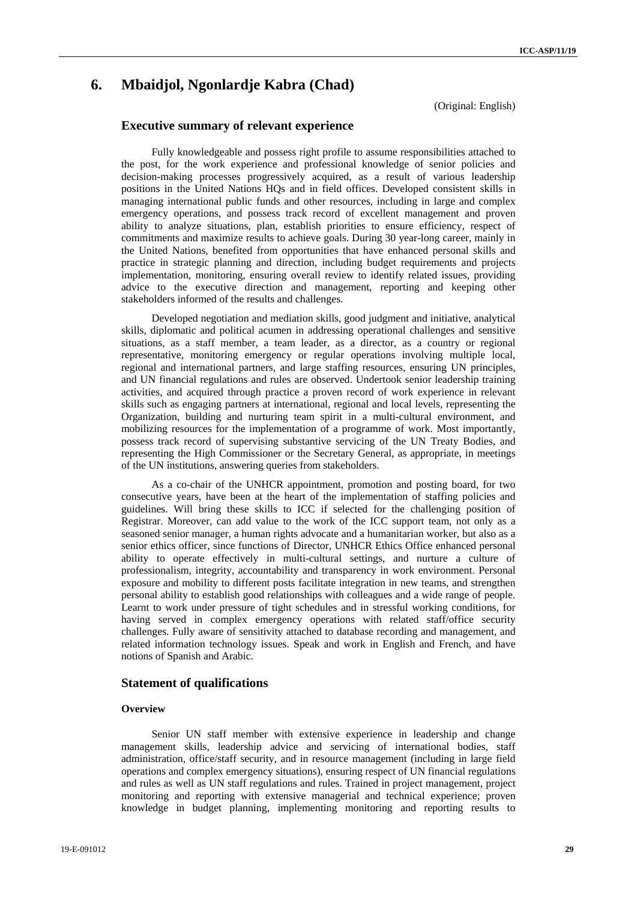## **6. Mbaidjol, Ngonlardje Kabra (Chad)**

(Original: English)

### **Executive summary of relevant experience**

Fully knowledgeable and possess right profile to assume responsibilities attached to the post, for the work experience and professional knowledge of senior policies and decision-making processes progressively acquired, as a result of various leadership positions in the United Nations HQs and in field offices. Developed consistent skills in managing international public funds and other resources, including in large and complex emergency operations, and possess track record of excellent management and proven ability to analyze situations, plan, establish priorities to ensure efficiency, respect of commitments and maximize results to achieve goals. During 30 year-long career, mainly in the United Nations, benefited from opportunities that have enhanced personal skills and practice in strategic planning and direction, including budget requirements and projects implementation, monitoring, ensuring overall review to identify related issues, providing advice to the executive direction and management, reporting and keeping other stakeholders informed of the results and challenges.

Developed negotiation and mediation skills, good judgment and initiative, analytical skills, diplomatic and political acumen in addressing operational challenges and sensitive situations, as a staff member, a team leader, as a director, as a country or regional representative, monitoring emergency or regular operations involving multiple local, regional and international partners, and large staffing resources, ensuring UN principles, and UN financial regulations and rules are observed. Undertook senior leadership training activities, and acquired through practice a proven record of work experience in relevant skills such as engaging partners at international, regional and local levels, representing the Organization, building and nurturing team spirit in a multi-cultural environment, and mobilizing resources for the implementation of a programme of work. Most importantly, possess track record of supervising substantive servicing of the UN Treaty Bodies, and representing the High Commissioner or the Secretary General, as appropriate, in meetings of the UN institutions, answering queries from stakeholders.

As a co-chair of the UNHCR appointment, promotion and posting board, for two consecutive years, have been at the heart of the implementation of staffing policies and guidelines. Will bring these skills to ICC if selected for the challenging position of Registrar. Moreover, can add value to the work of the ICC support team, not only as a seasoned senior manager, a human rights advocate and a humanitarian worker, but also as a senior ethics officer, since functions of Director, UNHCR Ethics Office enhanced personal ability to operate effectively in multi-cultural settings, and nurture a culture of professionalism, integrity, accountability and transparency in work environment. Personal exposure and mobility to different posts facilitate integration in new teams, and strengthen personal ability to establish good relationships with colleagues and a wide range of people. Learnt to work under pressure of tight schedules and in stressful working conditions, for having served in complex emergency operations with related staff/office security challenges. Fully aware of sensitivity attached to database recording and management, and related information technology issues. Speak and work in English and French, and have notions of Spanish and Arabic.

### **Statement of qualifications**

### **Overview**

Senior UN staff member with extensive experience in leadership and change management skills, leadership advice and servicing of international bodies, staff administration, office/staff security, and in resource management (including in large field operations and complex emergency situations), ensuring respect of UN financial regulations and rules as well as UN staff regulations and rules. Trained in project management, project monitoring and reporting with extensive managerial and technical experience; proven knowledge in budget planning, implementing monitoring and reporting results to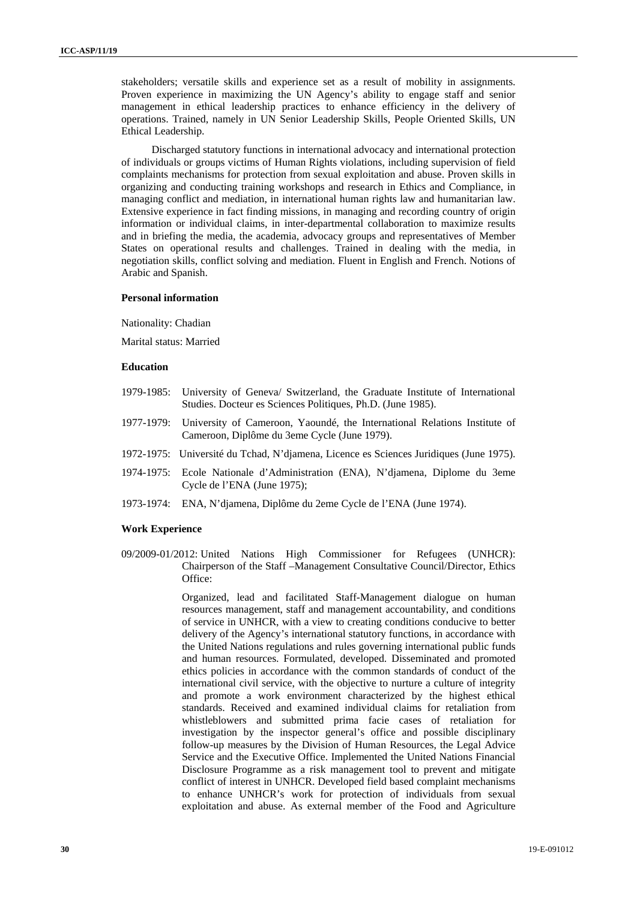stakeholders; versatile skills and experience set as a result of mobility in assignments. Proven experience in maximizing the UN Agency's ability to engage staff and senior management in ethical leadership practices to enhance efficiency in the delivery of operations. Trained, namely in UN Senior Leadership Skills, People Oriented Skills, UN Ethical Leadership.

Discharged statutory functions in international advocacy and international protection of individuals or groups victims of Human Rights violations, including supervision of field complaints mechanisms for protection from sexual exploitation and abuse. Proven skills in organizing and conducting training workshops and research in Ethics and Compliance, in managing conflict and mediation, in international human rights law and humanitarian law. Extensive experience in fact finding missions, in managing and recording country of origin information or individual claims, in inter-departmental collaboration to maximize results and in briefing the media, the academia, advocacy groups and representatives of Member States on operational results and challenges. Trained in dealing with the media, in negotiation skills, conflict solving and mediation. Fluent in English and French. Notions of Arabic and Spanish.

### **Personal information**

Nationality: Chadian

Marital status: Married

#### **Education**

- 1979-1985: University of Geneva/ Switzerland, the Graduate Institute of International Studies. Docteur es Sciences Politiques, Ph.D. (June 1985).
- 1977-1979: University of Cameroon, Yaoundé, the International Relations Institute of Cameroon, Diplôme du 3eme Cycle (June 1979).
- 1972-1975: Université du Tchad, N'djamena, Licence es Sciences Juridiques (June 1975).
- 1974-1975: Ecole Nationale d'Administration (ENA), N'djamena, Diplome du 3eme Cycle de l'ENA (June 1975);
- 1973-1974: ENA, N'djamena, Diplôme du 2eme Cycle de l'ENA (June 1974).

#### **Work Experience**

09/2009-01/2012: United Nations High Commissioner for Refugees (UNHCR): Chairperson of the Staff –Management Consultative Council/Director, Ethics Office:

> Organized, lead and facilitated Staff-Management dialogue on human resources management, staff and management accountability, and conditions of service in UNHCR, with a view to creating conditions conducive to better delivery of the Agency's international statutory functions, in accordance with the United Nations regulations and rules governing international public funds and human resources. Formulated, developed. Disseminated and promoted ethics policies in accordance with the common standards of conduct of the international civil service, with the objective to nurture a culture of integrity and promote a work environment characterized by the highest ethical standards. Received and examined individual claims for retaliation from whistleblowers and submitted prima facie cases of retaliation for investigation by the inspector general's office and possible disciplinary follow-up measures by the Division of Human Resources, the Legal Advice Service and the Executive Office. Implemented the United Nations Financial Disclosure Programme as a risk management tool to prevent and mitigate conflict of interest in UNHCR. Developed field based complaint mechanisms to enhance UNHCR's work for protection of individuals from sexual exploitation and abuse. As external member of the Food and Agriculture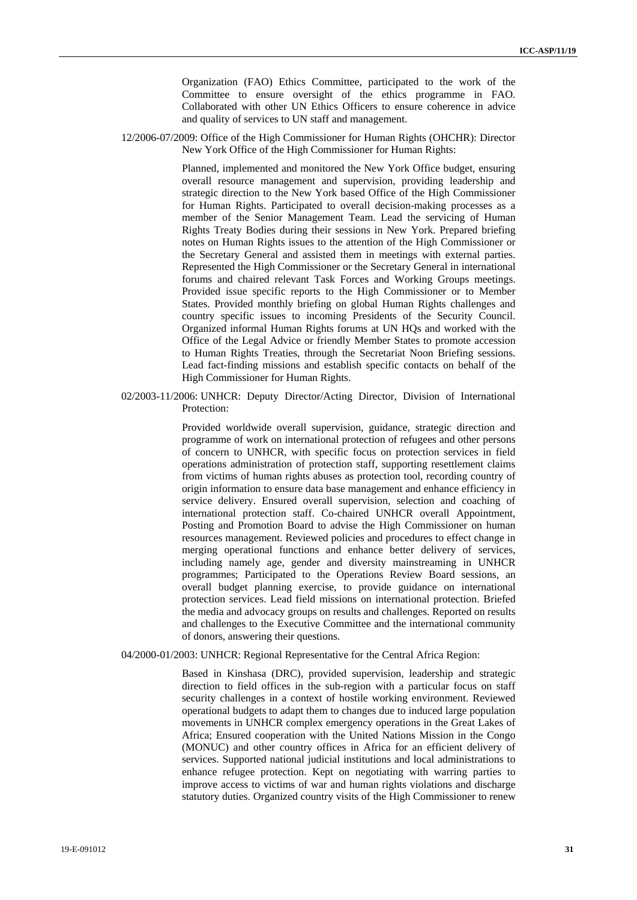Organization (FAO) Ethics Committee, participated to the work of the Committee to ensure oversight of the ethics programme in FAO. Collaborated with other UN Ethics Officers to ensure coherence in advice and quality of services to UN staff and management.

12/2006-07/2009: Office of the High Commissioner for Human Rights (OHCHR): Director New York Office of the High Commissioner for Human Rights:

> Planned, implemented and monitored the New York Office budget, ensuring overall resource management and supervision, providing leadership and strategic direction to the New York based Office of the High Commissioner for Human Rights. Participated to overall decision-making processes as a member of the Senior Management Team. Lead the servicing of Human Rights Treaty Bodies during their sessions in New York. Prepared briefing notes on Human Rights issues to the attention of the High Commissioner or the Secretary General and assisted them in meetings with external parties. Represented the High Commissioner or the Secretary General in international forums and chaired relevant Task Forces and Working Groups meetings. Provided issue specific reports to the High Commissioner or to Member States. Provided monthly briefing on global Human Rights challenges and country specific issues to incoming Presidents of the Security Council. Organized informal Human Rights forums at UN HQs and worked with the Office of the Legal Advice or friendly Member States to promote accession to Human Rights Treaties, through the Secretariat Noon Briefing sessions. Lead fact-finding missions and establish specific contacts on behalf of the High Commissioner for Human Rights.

02/2003-11/2006: UNHCR: Deputy Director/Acting Director, Division of International Protection:

> Provided worldwide overall supervision, guidance, strategic direction and programme of work on international protection of refugees and other persons of concern to UNHCR, with specific focus on protection services in field operations administration of protection staff, supporting resettlement claims from victims of human rights abuses as protection tool, recording country of origin information to ensure data base management and enhance efficiency in service delivery. Ensured overall supervision, selection and coaching of international protection staff. Co-chaired UNHCR overall Appointment, Posting and Promotion Board to advise the High Commissioner on human resources management. Reviewed policies and procedures to effect change in merging operational functions and enhance better delivery of services, including namely age, gender and diversity mainstreaming in UNHCR programmes; Participated to the Operations Review Board sessions, an overall budget planning exercise, to provide guidance on international protection services. Lead field missions on international protection. Briefed the media and advocacy groups on results and challenges. Reported on results and challenges to the Executive Committee and the international community of donors, answering their questions.

#### 04/2000-01/2003: UNHCR: Regional Representative for the Central Africa Region:

Based in Kinshasa (DRC), provided supervision, leadership and strategic direction to field offices in the sub-region with a particular focus on staff security challenges in a context of hostile working environment. Reviewed operational budgets to adapt them to changes due to induced large population movements in UNHCR complex emergency operations in the Great Lakes of Africa; Ensured cooperation with the United Nations Mission in the Congo (MONUC) and other country offices in Africa for an efficient delivery of services. Supported national judicial institutions and local administrations to enhance refugee protection. Kept on negotiating with warring parties to improve access to victims of war and human rights violations and discharge statutory duties. Organized country visits of the High Commissioner to renew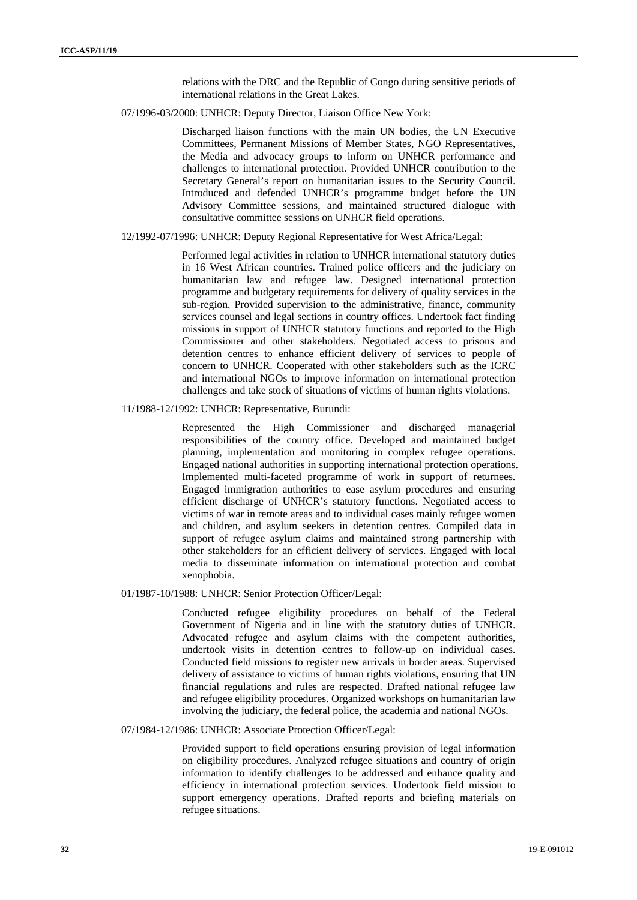relations with the DRC and the Republic of Congo during sensitive periods of international relations in the Great Lakes.

07/1996-03/2000: UNHCR: Deputy Director, Liaison Office New York:

Discharged liaison functions with the main UN bodies, the UN Executive Committees, Permanent Missions of Member States, NGO Representatives, the Media and advocacy groups to inform on UNHCR performance and challenges to international protection. Provided UNHCR contribution to the Secretary General's report on humanitarian issues to the Security Council. Introduced and defended UNHCR's programme budget before the UN Advisory Committee sessions, and maintained structured dialogue with consultative committee sessions on UNHCR field operations.

#### 12/1992-07/1996: UNHCR: Deputy Regional Representative for West Africa/Legal:

Performed legal activities in relation to UNHCR international statutory duties in 16 West African countries. Trained police officers and the judiciary on humanitarian law and refugee law. Designed international protection programme and budgetary requirements for delivery of quality services in the sub-region. Provided supervision to the administrative, finance, community services counsel and legal sections in country offices. Undertook fact finding missions in support of UNHCR statutory functions and reported to the High Commissioner and other stakeholders. Negotiated access to prisons and detention centres to enhance efficient delivery of services to people of concern to UNHCR. Cooperated with other stakeholders such as the ICRC and international NGOs to improve information on international protection challenges and take stock of situations of victims of human rights violations.

### 11/1988-12/1992: UNHCR: Representative, Burundi:

Represented the High Commissioner and discharged managerial responsibilities of the country office. Developed and maintained budget planning, implementation and monitoring in complex refugee operations. Engaged national authorities in supporting international protection operations. Implemented multi-faceted programme of work in support of returnees. Engaged immigration authorities to ease asylum procedures and ensuring efficient discharge of UNHCR's statutory functions. Negotiated access to victims of war in remote areas and to individual cases mainly refugee women and children, and asylum seekers in detention centres. Compiled data in support of refugee asylum claims and maintained strong partnership with other stakeholders for an efficient delivery of services. Engaged with local media to disseminate information on international protection and combat xenophobia.

### 01/1987-10/1988: UNHCR: Senior Protection Officer/Legal:

Conducted refugee eligibility procedures on behalf of the Federal Government of Nigeria and in line with the statutory duties of UNHCR. Advocated refugee and asylum claims with the competent authorities, undertook visits in detention centres to follow-up on individual cases. Conducted field missions to register new arrivals in border areas. Supervised delivery of assistance to victims of human rights violations, ensuring that UN financial regulations and rules are respected. Drafted national refugee law and refugee eligibility procedures. Organized workshops on humanitarian law involving the judiciary, the federal police, the academia and national NGOs.

### 07/1984-12/1986: UNHCR: Associate Protection Officer/Legal:

Provided support to field operations ensuring provision of legal information on eligibility procedures. Analyzed refugee situations and country of origin information to identify challenges to be addressed and enhance quality and efficiency in international protection services. Undertook field mission to support emergency operations. Drafted reports and briefing materials on refugee situations.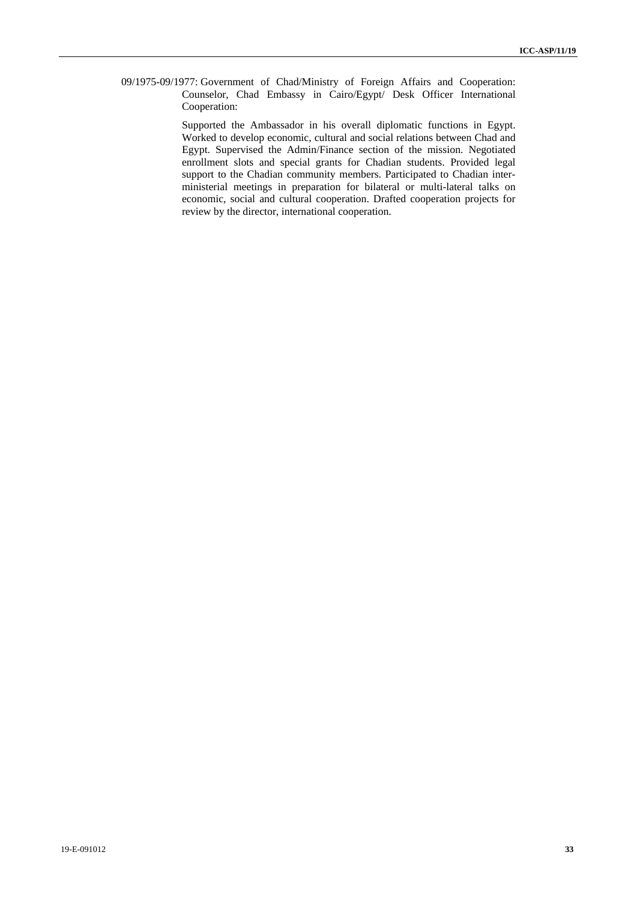09/1975-09/1977: Government of Chad/Ministry of Foreign Affairs and Cooperation: Counselor, Chad Embassy in Cairo/Egypt/ Desk Officer International Cooperation:

> Supported the Ambassador in his overall diplomatic functions in Egypt. Worked to develop economic, cultural and social relations between Chad and Egypt. Supervised the Admin/Finance section of the mission. Negotiated enrollment slots and special grants for Chadian students. Provided legal support to the Chadian community members. Participated to Chadian interministerial meetings in preparation for bilateral or multi-lateral talks on economic, social and cultural cooperation. Drafted cooperation projects for review by the director, international cooperation.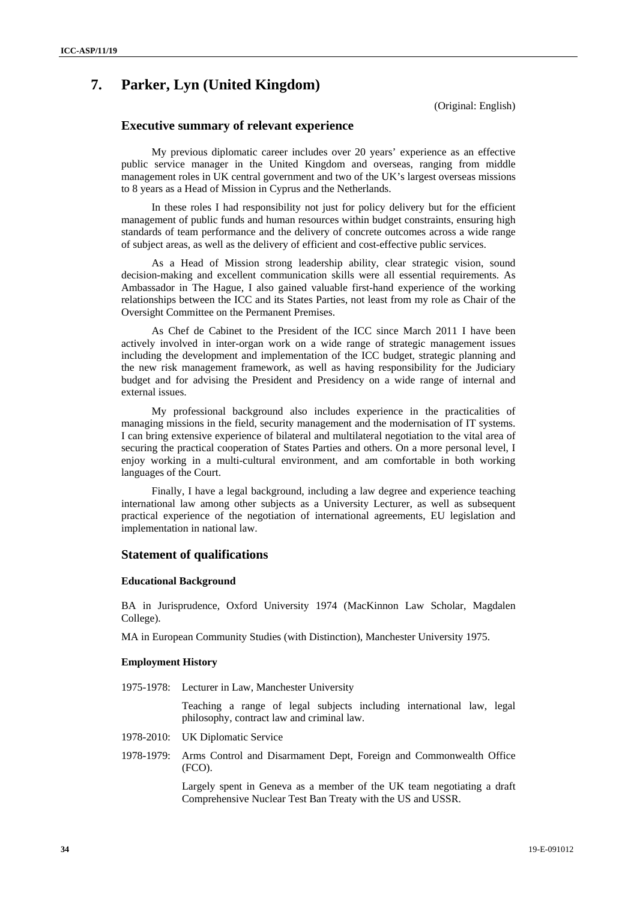## **7. Parker, Lyn (United Kingdom)**

(Original: English)

### **Executive summary of relevant experience**

My previous diplomatic career includes over 20 years' experience as an effective public service manager in the United Kingdom and overseas, ranging from middle management roles in UK central government and two of the UK's largest overseas missions to 8 years as a Head of Mission in Cyprus and the Netherlands.

In these roles I had responsibility not just for policy delivery but for the efficient management of public funds and human resources within budget constraints, ensuring high standards of team performance and the delivery of concrete outcomes across a wide range of subject areas, as well as the delivery of efficient and cost-effective public services.

As a Head of Mission strong leadership ability, clear strategic vision, sound decision-making and excellent communication skills were all essential requirements. As Ambassador in The Hague, I also gained valuable first-hand experience of the working relationships between the ICC and its States Parties, not least from my role as Chair of the Oversight Committee on the Permanent Premises.

As Chef de Cabinet to the President of the ICC since March 2011 I have been actively involved in inter-organ work on a wide range of strategic management issues including the development and implementation of the ICC budget, strategic planning and the new risk management framework, as well as having responsibility for the Judiciary budget and for advising the President and Presidency on a wide range of internal and external issues.

My professional background also includes experience in the practicalities of managing missions in the field, security management and the modernisation of IT systems. I can bring extensive experience of bilateral and multilateral negotiation to the vital area of securing the practical cooperation of States Parties and others. On a more personal level, I enjoy working in a multi-cultural environment, and am comfortable in both working languages of the Court.

Finally, I have a legal background, including a law degree and experience teaching international law among other subjects as a University Lecturer, as well as subsequent practical experience of the negotiation of international agreements, EU legislation and implementation in national law.

### **Statement of qualifications**

#### **Educational Background**

BA in Jurisprudence, Oxford University 1974 (MacKinnon Law Scholar, Magdalen College).

MA in European Community Studies (with Distinction), Manchester University 1975.

### **Employment History**

1975-1978: Lecturer in Law, Manchester University

Teaching a range of legal subjects including international law, legal philosophy, contract law and criminal law.

- 1978-2010: UK Diplomatic Service
- 1978-1979: Arms Control and Disarmament Dept, Foreign and Commonwealth Office (FCO).

Largely spent in Geneva as a member of the UK team negotiating a draft Comprehensive Nuclear Test Ban Treaty with the US and USSR.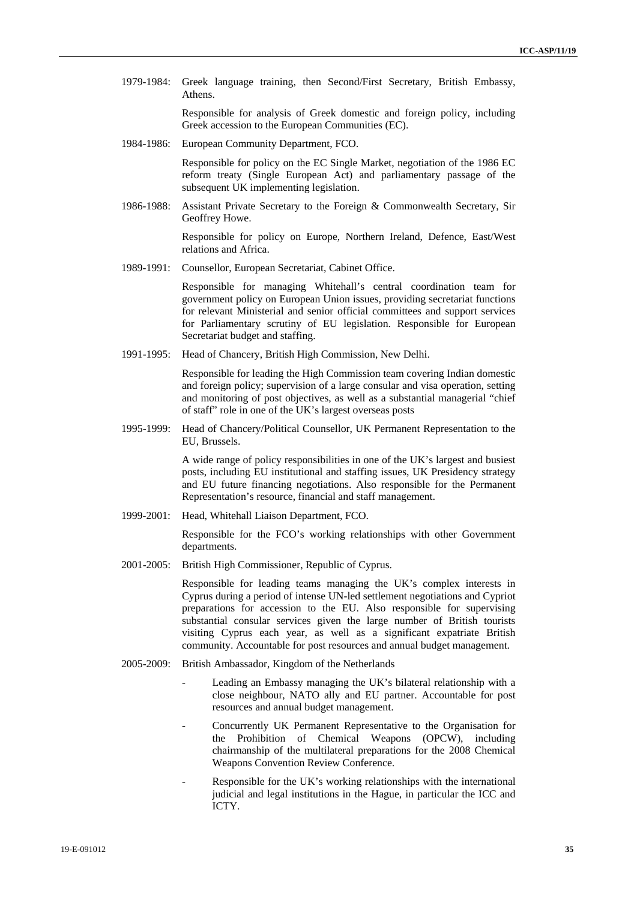1979-1984: Greek language training, then Second/First Secretary, British Embassy, Athens.

> Responsible for analysis of Greek domestic and foreign policy, including Greek accession to the European Communities (EC).

1984-1986: European Community Department, FCO.

Responsible for policy on the EC Single Market, negotiation of the 1986 EC reform treaty (Single European Act) and parliamentary passage of the subsequent UK implementing legislation.

1986-1988: Assistant Private Secretary to the Foreign & Commonwealth Secretary, Sir Geoffrey Howe.

> Responsible for policy on Europe, Northern Ireland, Defence, East/West relations and Africa.

1989-1991: Counsellor, European Secretariat, Cabinet Office.

Responsible for managing Whitehall's central coordination team for government policy on European Union issues, providing secretariat functions for relevant Ministerial and senior official committees and support services for Parliamentary scrutiny of EU legislation. Responsible for European Secretariat budget and staffing.

1991-1995: Head of Chancery, British High Commission, New Delhi.

Responsible for leading the High Commission team covering Indian domestic and foreign policy; supervision of a large consular and visa operation, setting and monitoring of post objectives, as well as a substantial managerial "chief of staff" role in one of the UK's largest overseas posts

1995-1999: Head of Chancery/Political Counsellor, UK Permanent Representation to the EU, Brussels.

> A wide range of policy responsibilities in one of the UK's largest and busiest posts, including EU institutional and staffing issues, UK Presidency strategy and EU future financing negotiations. Also responsible for the Permanent Representation's resource, financial and staff management.

1999-2001: Head, Whitehall Liaison Department, FCO.

Responsible for the FCO's working relationships with other Government departments.

2001-2005: British High Commissioner, Republic of Cyprus.

Responsible for leading teams managing the UK's complex interests in Cyprus during a period of intense UN-led settlement negotiations and Cypriot preparations for accession to the EU. Also responsible for supervising substantial consular services given the large number of British tourists visiting Cyprus each year, as well as a significant expatriate British community. Accountable for post resources and annual budget management.

- 2005-2009: British Ambassador, Kingdom of the Netherlands
	- Leading an Embassy managing the UK's bilateral relationship with a close neighbour, NATO ally and EU partner. Accountable for post resources and annual budget management.
	- Concurrently UK Permanent Representative to the Organisation for the Prohibition of Chemical Weapons (OPCW), including chairmanship of the multilateral preparations for the 2008 Chemical Weapons Convention Review Conference.
	- Responsible for the UK's working relationships with the international judicial and legal institutions in the Hague, in particular the ICC and ICTY.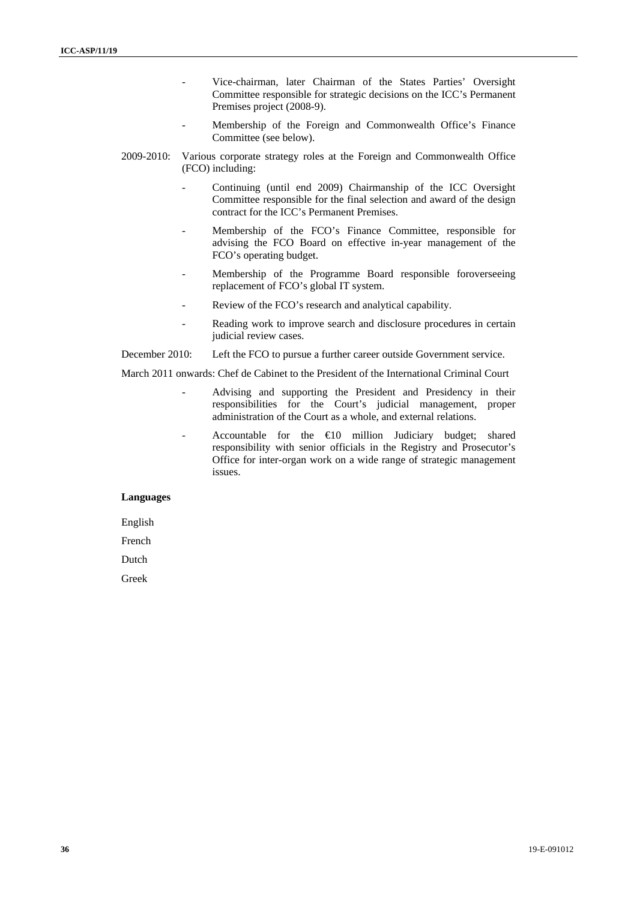- Vice-chairman, later Chairman of the States Parties' Oversight Committee responsible for strategic decisions on the ICC's Permanent Premises project (2008-9).
- Membership of the Foreign and Commonwealth Office's Finance Committee (see below).
- 2009-2010: Various corporate strategy roles at the Foreign and Commonwealth Office (FCO) including:
	- Continuing (until end 2009) Chairmanship of the ICC Oversight Committee responsible for the final selection and award of the design contract for the ICC's Permanent Premises.
	- Membership of the FCO's Finance Committee, responsible for advising the FCO Board on effective in-year management of the FCO's operating budget.
	- Membership of the Programme Board responsible foroverseeing replacement of FCO's global IT system.
	- Review of the FCO's research and analytical capability.
	- Reading work to improve search and disclosure procedures in certain judicial review cases.

December 2010: Left the FCO to pursue a further career outside Government service.

March 2011 onwards: Chef de Cabinet to the President of the International Criminal Court

- Advising and supporting the President and Presidency in their responsibilities for the Court's judicial management, proper administration of the Court as a whole, and external relations.
- Accountable for the  $\bigoplus$  million Judiciary budget; shared responsibility with senior officials in the Registry and Prosecutor's Office for inter-organ work on a wide range of strategic management issues.

### **Languages**

English

French

Dutch

Greek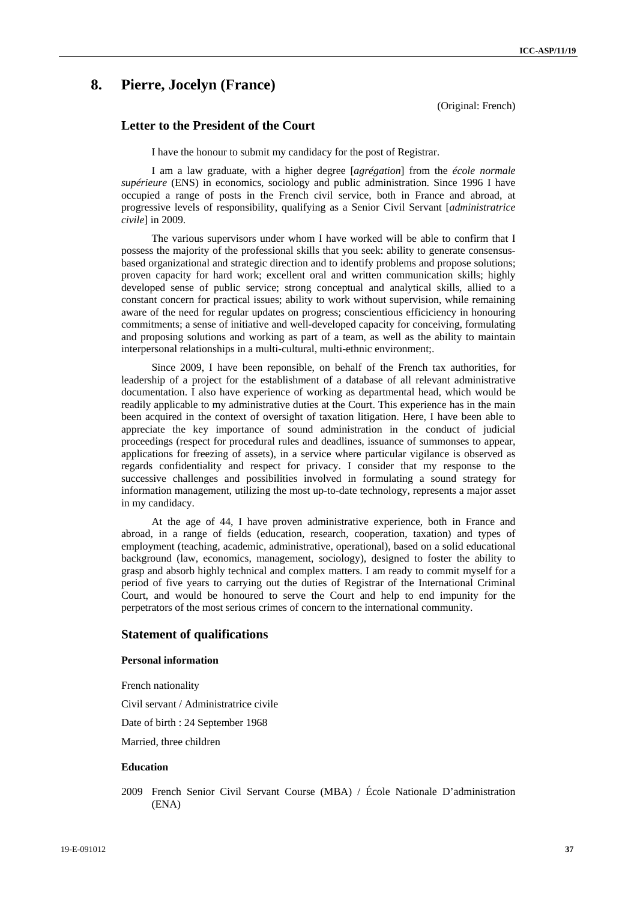## **8. Pierre, Jocelyn (France)**

(Original: French)

### **Letter to the President of the Court**

I have the honour to submit my candidacy for the post of Registrar.

I am a law graduate, with a higher degree [*agrégation*] from the *école normale supérieure* (ENS) in economics, sociology and public administration. Since 1996 I have occupied a range of posts in the French civil service, both in France and abroad, at progressive levels of responsibility, qualifying as a Senior Civil Servant [*administratrice civile*] in 2009.

The various supervisors under whom I have worked will be able to confirm that I possess the majority of the professional skills that you seek: ability to generate consensusbased organizational and strategic direction and to identify problems and propose solutions; proven capacity for hard work; excellent oral and written communication skills; highly developed sense of public service; strong conceptual and analytical skills, allied to a constant concern for practical issues; ability to work without supervision, while remaining aware of the need for regular updates on progress; conscientious efficiciency in honouring commitments; a sense of initiative and well-developed capacity for conceiving, formulating and proposing solutions and working as part of a team, as well as the ability to maintain interpersonal relationships in a multi-cultural, multi-ethnic environment;.

Since 2009, I have been reponsible, on behalf of the French tax authorities, for leadership of a project for the establishment of a database of all relevant administrative documentation. I also have experience of working as departmental head, which would be readily applicable to my administrative duties at the Court. This experience has in the main been acquired in the context of oversight of taxation litigation. Here, I have been able to appreciate the key importance of sound administration in the conduct of judicial proceedings (respect for procedural rules and deadlines, issuance of summonses to appear, applications for freezing of assets), in a service where particular vigilance is observed as regards confidentiality and respect for privacy. I consider that my response to the successive challenges and possibilities involved in formulating a sound strategy for information management, utilizing the most up-to-date technology, represents a major asset in my candidacy.

At the age of 44, I have proven administrative experience, both in France and abroad, in a range of fields (education, research, cooperation, taxation) and types of employment (teaching, academic, administrative, operational), based on a solid educational background (law, economics, management, sociology), designed to foster the ability to grasp and absorb highly technical and complex matters. I am ready to commit myself for a period of five years to carrying out the duties of Registrar of the International Criminal Court, and would be honoured to serve the Court and help to end impunity for the perpetrators of the most serious crimes of concern to the international community.

### **Statement of qualifications**

### **Personal information**

French nationality

Civil servant / Administratrice civile

Date of birth : 24 September 1968

Married, three children

### **Education**

2009 French Senior Civil Servant Course (MBA) / École Nationale D'administration (ENA)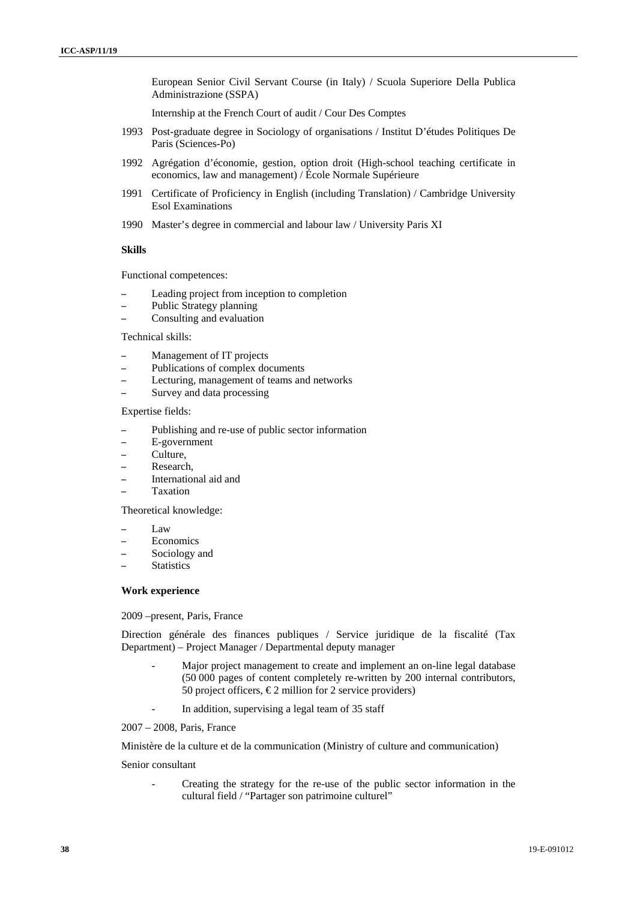European Senior Civil Servant Course (in Italy) / Scuola Superiore Della Publica Administrazione (SSPA)

Internship at the French Court of audit / Cour Des Comptes

- 1993 Post-graduate degree in Sociology of organisations / Institut D'études Politiques De Paris (Sciences-Po)
- 1992 Agrégation d'économie, gestion, option droit (High-school teaching certificate in economics, law and management) / École Normale Supérieure
- 1991 Certificate of Proficiency in English (including Translation) / Cambridge University Esol Examinations
- 1990 Master's degree in commercial and labour law / University Paris XI

#### **Skills**

Functional competences:

- Leading project from inception to completion
- Public Strategy planning
- Consulting and evaluation

#### Technical skills:

- Management of IT projects
- Publications of complex documents
- Lecturing, management of teams and networks
- Survey and data processing

### Expertise fields:

- Publishing and re-use of public sector information
- E-government
- Culture,
- Research,
- International aid and
- Taxation

Theoretical knowledge:

- Law
- Economics
- Sociology and
- **Statistics**

### **Work experience**

2009 –present, Paris, France

Direction générale des finances publiques / Service juridique de la fiscalité (Tax Department) – Project Manager / Departmental deputy manager

- Major project management to create and implement an on-line legal database (50 000 pages of content completely re-written by 200 internal contributors, 50 project officers,  $\epsilon$ 2 million for 2 service providers)
- In addition, supervising a legal team of 35 staff

2007 – 2008, Paris, France

Ministère de la culture et de la communication (Ministry of culture and communication)

### Senior consultant

- Creating the strategy for the re-use of the public sector information in the cultural field / "Partager son patrimoine culturel"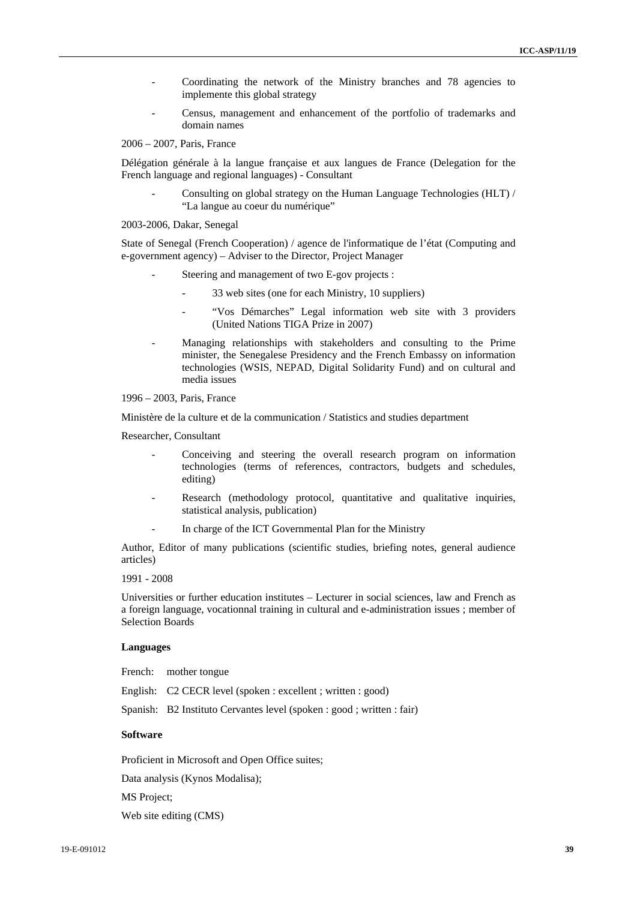- Coordinating the network of the Ministry branches and 78 agencies to implemente this global strategy
- Census, management and enhancement of the portfolio of trademarks and domain names

2006 – 2007, Paris, France

Délégation générale à la langue française et aux langues de France (Delegation for the French language and regional languages) - Consultant

Consulting on global strategy on the Human Language Technologies (HLT) / "La langue au coeur du numérique"

2003-2006, Dakar, Senegal

State of Senegal (French Cooperation) / agence de l'informatique de l'état (Computing and e-government agency) – Adviser to the Director, Project Manager

- Steering and management of two E-gov projects :
	- 33 web sites (one for each Ministry, 10 suppliers)
	- "Vos Démarches" Legal information web site with 3 providers (United Nations TIGA Prize in 2007)
- Managing relationships with stakeholders and consulting to the Prime minister, the Senegalese Presidency and the French Embassy on information technologies (WSIS, NEPAD, Digital Solidarity Fund) and on cultural and media issues

1996 – 2003, Paris, France

Ministère de la culture et de la communication / Statistics and studies department

Researcher, Consultant

- Conceiving and steering the overall research program on information technologies (terms of references, contractors, budgets and schedules, editing)
- Research (methodology protocol, quantitative and qualitative inquiries, statistical analysis, publication)
- In charge of the ICT Governmental Plan for the Ministry

Author, Editor of many publications (scientific studies, briefing notes, general audience articles)

1991 - 2008

Universities or further education institutes – Lecturer in social sciences, law and French as a foreign language, vocationnal training in cultural and e-administration issues ; member of Selection Boards

#### **Languages**

French: mother tongue

English: C2 CECR level (spoken : excellent ; written : good)

Spanish: B2 Instituto Cervantes level (spoken : good ; written : fair)

### **Software**

Proficient in Microsoft and Open Office suites;

Data analysis (Kynos Modalisa);

MS Project;

Web site editing (CMS)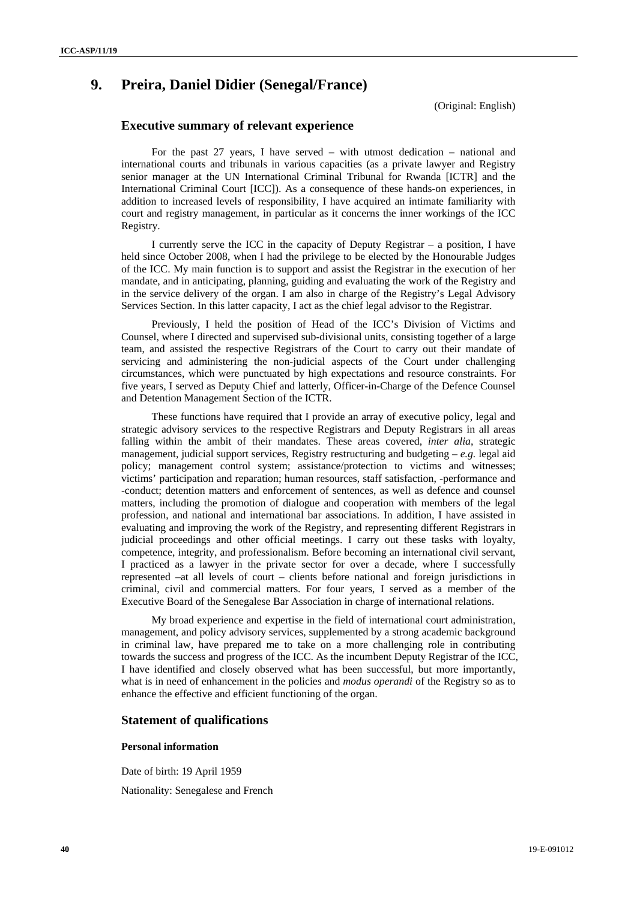## **9. Preira, Daniel Didier (Senegal/France)**

(Original: English)

### **Executive summary of relevant experience**

For the past 27 years, I have served – with utmost dedication – national and international courts and tribunals in various capacities (as a private lawyer and Registry senior manager at the UN International Criminal Tribunal for Rwanda [ICTR] and the International Criminal Court [ICC]). As a consequence of these hands-on experiences, in addition to increased levels of responsibility, I have acquired an intimate familiarity with court and registry management, in particular as it concerns the inner workings of the ICC Registry.

I currently serve the ICC in the capacity of Deputy Registrar – a position, I have held since October 2008, when I had the privilege to be elected by the Honourable Judges of the ICC. My main function is to support and assist the Registrar in the execution of her mandate, and in anticipating, planning, guiding and evaluating the work of the Registry and in the service delivery of the organ. I am also in charge of the Registry's Legal Advisory Services Section. In this latter capacity, I act as the chief legal advisor to the Registrar.

Previously, I held the position of Head of the ICC's Division of Victims and Counsel, where I directed and supervised sub-divisional units, consisting together of a large team, and assisted the respective Registrars of the Court to carry out their mandate of servicing and administering the non-judicial aspects of the Court under challenging circumstances, which were punctuated by high expectations and resource constraints. For five years, I served as Deputy Chief and latterly, Officer-in-Charge of the Defence Counsel and Detention Management Section of the ICTR.

These functions have required that I provide an array of executive policy, legal and strategic advisory services to the respective Registrars and Deputy Registrars in all areas falling within the ambit of their mandates. These areas covered, *inter alia*, strategic management, judicial support services, Registry restructuring and budgeting – *e.g.* legal aid policy; management control system; assistance/protection to victims and witnesses; victims' participation and reparation; human resources, staff satisfaction, -performance and -conduct; detention matters and enforcement of sentences, as well as defence and counsel matters, including the promotion of dialogue and cooperation with members of the legal profession, and national and international bar associations. In addition, I have assisted in evaluating and improving the work of the Registry, and representing different Registrars in judicial proceedings and other official meetings. I carry out these tasks with loyalty, competence, integrity, and professionalism. Before becoming an international civil servant, I practiced as a lawyer in the private sector for over a decade, where I successfully represented –at all levels of court – clients before national and foreign jurisdictions in criminal, civil and commercial matters. For four years, I served as a member of the Executive Board of the Senegalese Bar Association in charge of international relations.

My broad experience and expertise in the field of international court administration, management, and policy advisory services, supplemented by a strong academic background in criminal law, have prepared me to take on a more challenging role in contributing towards the success and progress of the ICC. As the incumbent Deputy Registrar of the ICC, I have identified and closely observed what has been successful, but more importantly, what is in need of enhancement in the policies and *modus operandi* of the Registry so as to enhance the effective and efficient functioning of the organ.

### **Statement of qualifications**

### **Personal information**

Date of birth: 19 April 1959 Nationality: Senegalese and French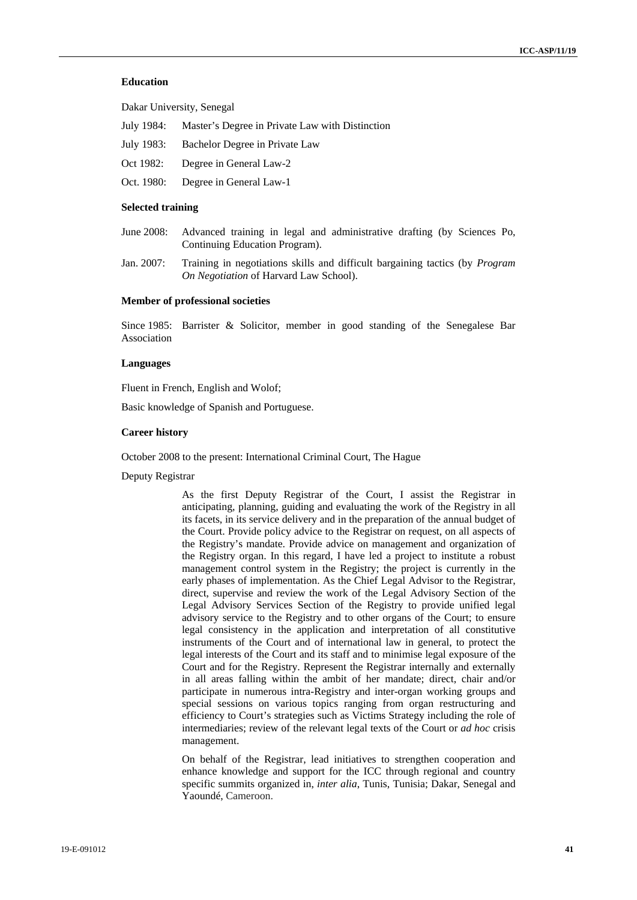### **Education**

Dakar University, Senegal

- July 1984: Master's Degree in Private Law with Distinction
- July 1983: Bachelor Degree in Private Law
- Oct 1982: Degree in General Law-2
- Oct. 1980: Degree in General Law-1

#### **Selected training**

- June 2008: Advanced training in legal and administrative drafting (by Sciences Po, Continuing Education Program).
- Jan. 2007: Training in negotiations skills and difficult bargaining tactics (by *Program On Negotiation* of Harvard Law School).

### **Member of professional societies**

Since 1985: Barrister & Solicitor, member in good standing of the Senegalese Bar Association

#### **Languages**

Fluent in French, English and Wolof;

Basic knowledge of Spanish and Portuguese.

#### **Career history**

October 2008 to the present: International Criminal Court, The Hague

Deputy Registrar

As the first Deputy Registrar of the Court, I assist the Registrar in anticipating, planning, guiding and evaluating the work of the Registry in all its facets, in its service delivery and in the preparation of the annual budget of the Court. Provide policy advice to the Registrar on request, on all aspects of the Registry's mandate. Provide advice on management and organization of the Registry organ. In this regard, I have led a project to institute a robust management control system in the Registry; the project is currently in the early phases of implementation. As the Chief Legal Advisor to the Registrar, direct, supervise and review the work of the Legal Advisory Section of the Legal Advisory Services Section of the Registry to provide unified legal advisory service to the Registry and to other organs of the Court; to ensure legal consistency in the application and interpretation of all constitutive instruments of the Court and of international law in general, to protect the legal interests of the Court and its staff and to minimise legal exposure of the Court and for the Registry. Represent the Registrar internally and externally in all areas falling within the ambit of her mandate; direct, chair and/or participate in numerous intra-Registry and inter-organ working groups and special sessions on various topics ranging from organ restructuring and efficiency to Court's strategies such as Victims Strategy including the role of intermediaries; review of the relevant legal texts of the Court or *ad hoc* crisis management.

On behalf of the Registrar, lead initiatives to strengthen cooperation and enhance knowledge and support for the ICC through regional and country specific summits organized in, *inter alia*, Tunis, Tunisia; Dakar, Senegal and Yaoundé, Cameroon.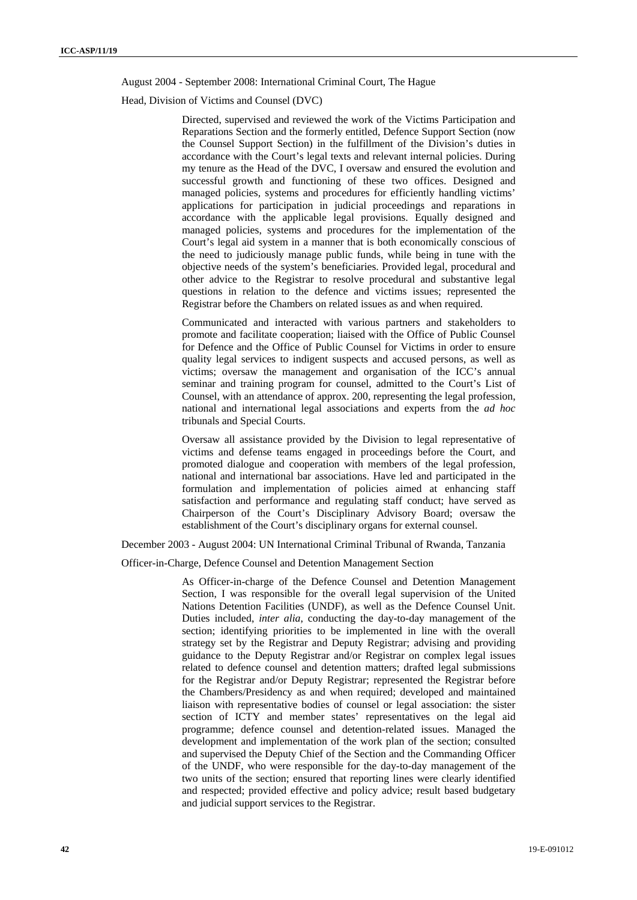August 2004 - September 2008: International Criminal Court, The Hague

Head, Division of Victims and Counsel (DVC)

Directed, supervised and reviewed the work of the Victims Participation and Reparations Section and the formerly entitled, Defence Support Section (now the Counsel Support Section) in the fulfillment of the Division's duties in accordance with the Court's legal texts and relevant internal policies. During my tenure as the Head of the DVC, I oversaw and ensured the evolution and successful growth and functioning of these two offices. Designed and managed policies, systems and procedures for efficiently handling victims' applications for participation in judicial proceedings and reparations in accordance with the applicable legal provisions. Equally designed and managed policies, systems and procedures for the implementation of the Court's legal aid system in a manner that is both economically conscious of the need to judiciously manage public funds, while being in tune with the objective needs of the system's beneficiaries. Provided legal, procedural and other advice to the Registrar to resolve procedural and substantive legal questions in relation to the defence and victims issues; represented the Registrar before the Chambers on related issues as and when required.

Communicated and interacted with various partners and stakeholders to promote and facilitate cooperation; liaised with the Office of Public Counsel for Defence and the Office of Public Counsel for Victims in order to ensure quality legal services to indigent suspects and accused persons, as well as victims; oversaw the management and organisation of the ICC's annual seminar and training program for counsel, admitted to the Court's List of Counsel, with an attendance of approx. 200, representing the legal profession, national and international legal associations and experts from the *ad hoc* tribunals and Special Courts.

Oversaw all assistance provided by the Division to legal representative of victims and defense teams engaged in proceedings before the Court, and promoted dialogue and cooperation with members of the legal profession, national and international bar associations. Have led and participated in the formulation and implementation of policies aimed at enhancing staff satisfaction and performance and regulating staff conduct; have served as Chairperson of the Court's Disciplinary Advisory Board; oversaw the establishment of the Court's disciplinary organs for external counsel.

December 2003 - August 2004: UN International Criminal Tribunal of Rwanda, Tanzania

Officer-in-Charge, Defence Counsel and Detention Management Section

As Officer-in-charge of the Defence Counsel and Detention Management Section, I was responsible for the overall legal supervision of the United Nations Detention Facilities (UNDF), as well as the Defence Counsel Unit. Duties included, *inter alia*, conducting the day-to-day management of the section; identifying priorities to be implemented in line with the overall strategy set by the Registrar and Deputy Registrar; advising and providing guidance to the Deputy Registrar and/or Registrar on complex legal issues related to defence counsel and detention matters; drafted legal submissions for the Registrar and/or Deputy Registrar; represented the Registrar before the Chambers/Presidency as and when required; developed and maintained liaison with representative bodies of counsel or legal association: the sister section of ICTY and member states' representatives on the legal aid programme; defence counsel and detention-related issues. Managed the development and implementation of the work plan of the section; consulted and supervised the Deputy Chief of the Section and the Commanding Officer of the UNDF, who were responsible for the day-to-day management of the two units of the section; ensured that reporting lines were clearly identified and respected; provided effective and policy advice; result based budgetary and judicial support services to the Registrar.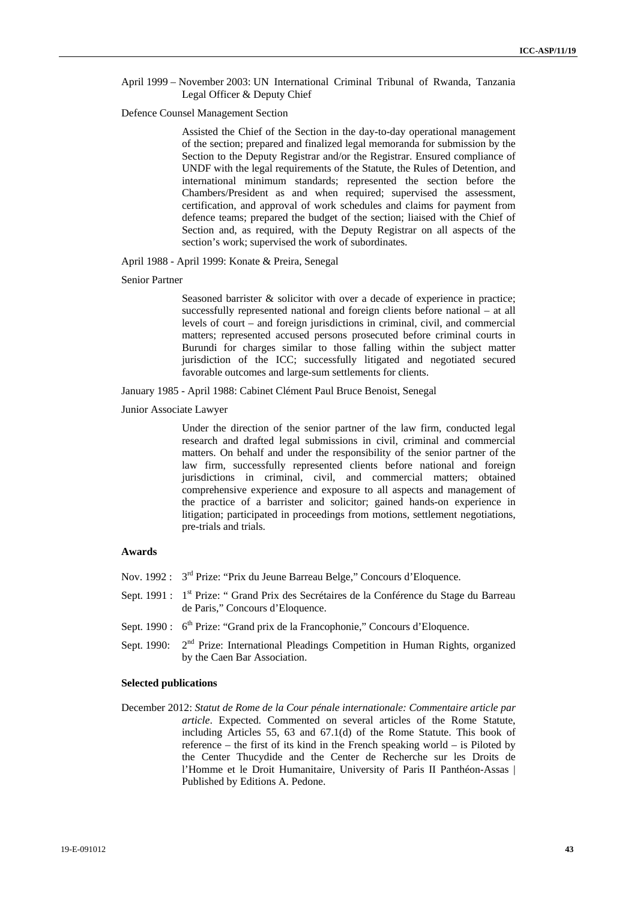### April 1999 – November 2003: UN International Criminal Tribunal of Rwanda, Tanzania Legal Officer & Deputy Chief

#### Defence Counsel Management Section

Assisted the Chief of the Section in the day-to-day operational management of the section; prepared and finalized legal memoranda for submission by the Section to the Deputy Registrar and/or the Registrar. Ensured compliance of UNDF with the legal requirements of the Statute, the Rules of Detention, and international minimum standards; represented the section before the Chambers/President as and when required; supervised the assessment, certification, and approval of work schedules and claims for payment from defence teams; prepared the budget of the section; liaised with the Chief of Section and, as required, with the Deputy Registrar on all aspects of the section's work; supervised the work of subordinates.

April 1988 - April 1999: Konate & Preira, Senegal

#### Senior Partner

Seasoned barrister  $\&$  solicitor with over a decade of experience in practice; successfully represented national and foreign clients before national – at all levels of court – and foreign jurisdictions in criminal, civil, and commercial matters; represented accused persons prosecuted before criminal courts in Burundi for charges similar to those falling within the subject matter jurisdiction of the ICC; successfully litigated and negotiated secured favorable outcomes and large-sum settlements for clients.

January 1985 - April 1988: Cabinet Clément Paul Bruce Benoist, Senegal

Junior Associate Lawyer

Under the direction of the senior partner of the law firm, conducted legal research and drafted legal submissions in civil, criminal and commercial matters. On behalf and under the responsibility of the senior partner of the law firm, successfully represented clients before national and foreign jurisdictions in criminal, civil, and commercial matters; obtained comprehensive experience and exposure to all aspects and management of the practice of a barrister and solicitor; gained hands-on experience in litigation; participated in proceedings from motions, settlement negotiations, pre-trials and trials.

### **Awards**

- Nov. 1992 : 3<sup>rd</sup> Prize: "Prix du Jeune Barreau Belge," Concours d'Eloquence.
- Sept. 1991 : 1<sup>st</sup> Prize: " Grand Prix des Secrétaires de la Conférence du Stage du Barreau de Paris," Concours d'Eloquence.
- Sept. 1990 : 6<sup>th</sup> Prize: "Grand prix de la Francophonie," Concours d'Eloquence.
- Sept. 1990:  $2<sup>nd</sup>$  Prize: International Pleadings Competition in Human Rights, organized by the Caen Bar Association.

### **Selected publications**

December 2012: *Statut de Rome de la Cour pénale internationale: Commentaire article par article*. Expected. Commented on several articles of the Rome Statute, including Articles 55, 63 and 67.1(d) of the Rome Statute. This book of reference – the first of its kind in the French speaking world – is Piloted by the Center Thucydide and the Center de Recherche sur les Droits de l'Homme et le Droit Humanitaire, University of Paris II Panthéon-Assas | Published by Editions A. Pedone.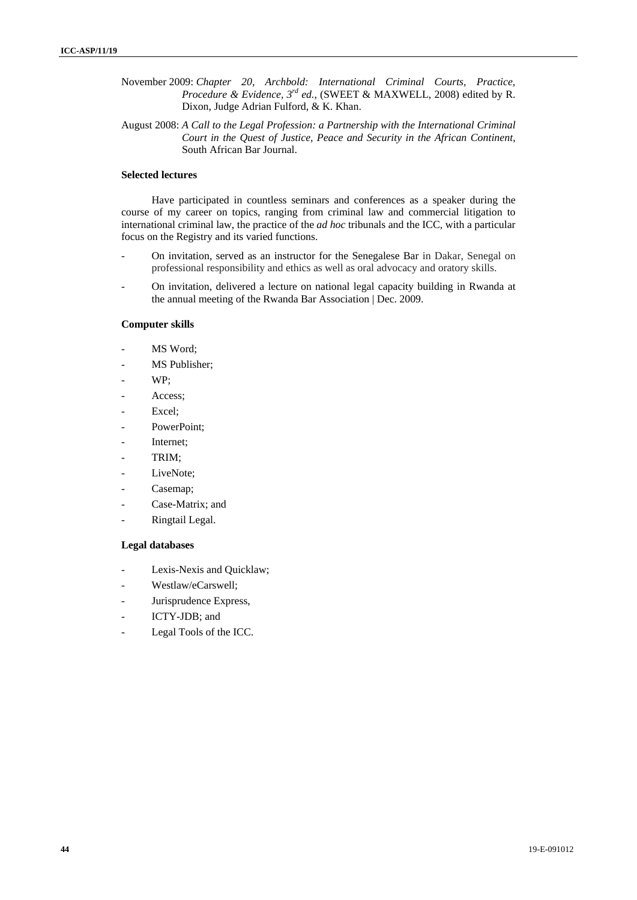- November 2009: *Chapter 20, Archbold: International Criminal Courts, Practice, Procedure & Evidence, 3rd ed.*, (SWEET & MAXWELL, 2008) edited by R. Dixon, Judge Adrian Fulford, & K. Khan.
- August 2008: *A Call to the Legal Profession: a Partnership with the International Criminal Court in the Quest of Justice, Peace and Security in the African Continent*, South African Bar Journal.

### **Selected lectures**

Have participated in countless seminars and conferences as a speaker during the course of my career on topics, ranging from criminal law and commercial litigation to international criminal law, the practice of the *ad hoc* tribunals and the ICC, with a particular focus on the Registry and its varied functions.

- On invitation, served as an instructor for the Senegalese Bar in Dakar, Senegal on professional responsibility and ethics as well as oral advocacy and oratory skills.
- On invitation, delivered a lecture on national legal capacity building in Rwanda at the annual meeting of the Rwanda Bar Association | Dec. 2009.

### **Computer skills**

- MS Word:
- MS Publisher;
- WP:
- Access;
- Excel;
- PowerPoint;
- Internet:
- TRIM;
- LiveNote;
- Casemap:
- Case-Matrix; and
- Ringtail Legal.

### **Legal databases**

- Lexis-Nexis and Ouicklaw:
- Westlaw/eCarswell;
- Jurisprudence Express,
- ICTY-JDB; and
- Legal Tools of the ICC.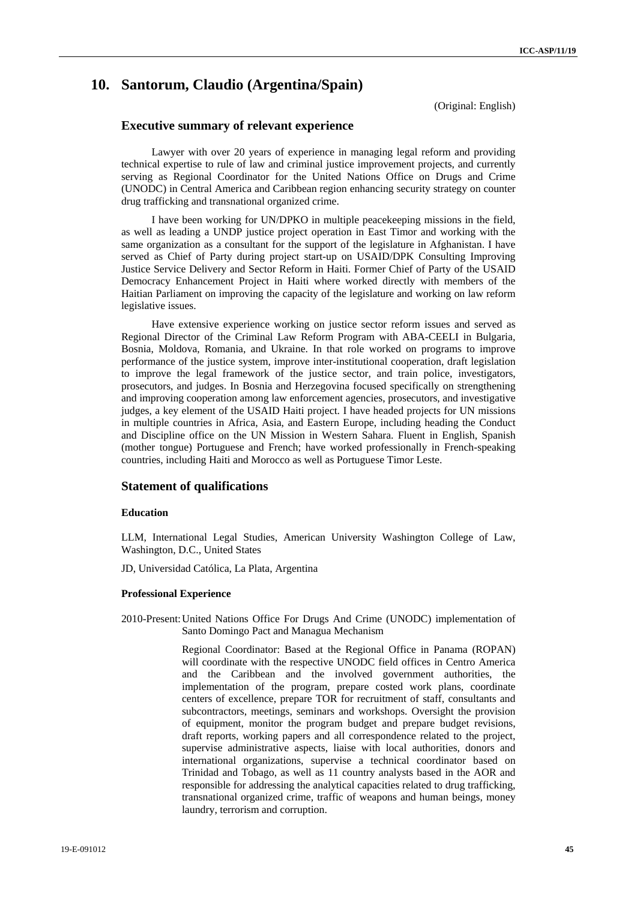## **10. Santorum, Claudio (Argentina/Spain)**

(Original: English)

### **Executive summary of relevant experience**

Lawyer with over 20 years of experience in managing legal reform and providing technical expertise to rule of law and criminal justice improvement projects, and currently serving as Regional Coordinator for the United Nations Office on Drugs and Crime (UNODC) in Central America and Caribbean region enhancing security strategy on counter drug trafficking and transnational organized crime.

I have been working for UN/DPKO in multiple peacekeeping missions in the field, as well as leading a UNDP justice project operation in East Timor and working with the same organization as a consultant for the support of the legislature in Afghanistan. I have served as Chief of Party during project start-up on USAID/DPK Consulting Improving Justice Service Delivery and Sector Reform in Haiti. Former Chief of Party of the USAID Democracy Enhancement Project in Haiti where worked directly with members of the Haitian Parliament on improving the capacity of the legislature and working on law reform legislative issues.

Have extensive experience working on justice sector reform issues and served as Regional Director of the Criminal Law Reform Program with ABA-CEELI in Bulgaria, Bosnia, Moldova, Romania, and Ukraine. In that role worked on programs to improve performance of the justice system, improve inter-institutional cooperation, draft legislation to improve the legal framework of the justice sector, and train police, investigators, prosecutors, and judges. In Bosnia and Herzegovina focused specifically on strengthening and improving cooperation among law enforcement agencies, prosecutors, and investigative judges, a key element of the USAID Haiti project. I have headed projects for UN missions in multiple countries in Africa, Asia, and Eastern Europe, including heading the Conduct and Discipline office on the UN Mission in Western Sahara. Fluent in English, Spanish (mother tongue) Portuguese and French; have worked professionally in French-speaking countries, including Haiti and Morocco as well as Portuguese Timor Leste.

### **Statement of qualifications**

#### **Education**

LLM, International Legal Studies, American University Washington College of Law, Washington, D.C., United States

JD, Universidad Católica, La Plata, Argentina

#### **Professional Experience**

2010-Present: United Nations Office For Drugs And Crime (UNODC) implementation of Santo Domingo Pact and Managua Mechanism

> Regional Coordinator: Based at the Regional Office in Panama (ROPAN) will coordinate with the respective UNODC field offices in Centro America and the Caribbean and the involved government authorities, the implementation of the program, prepare costed work plans, coordinate centers of excellence, prepare TOR for recruitment of staff, consultants and subcontractors, meetings, seminars and workshops. Oversight the provision of equipment, monitor the program budget and prepare budget revisions, draft reports, working papers and all correspondence related to the project, supervise administrative aspects, liaise with local authorities, donors and international organizations, supervise a technical coordinator based on Trinidad and Tobago, as well as 11 country analysts based in the AOR and responsible for addressing the analytical capacities related to drug trafficking, transnational organized crime, traffic of weapons and human beings, money laundry, terrorism and corruption.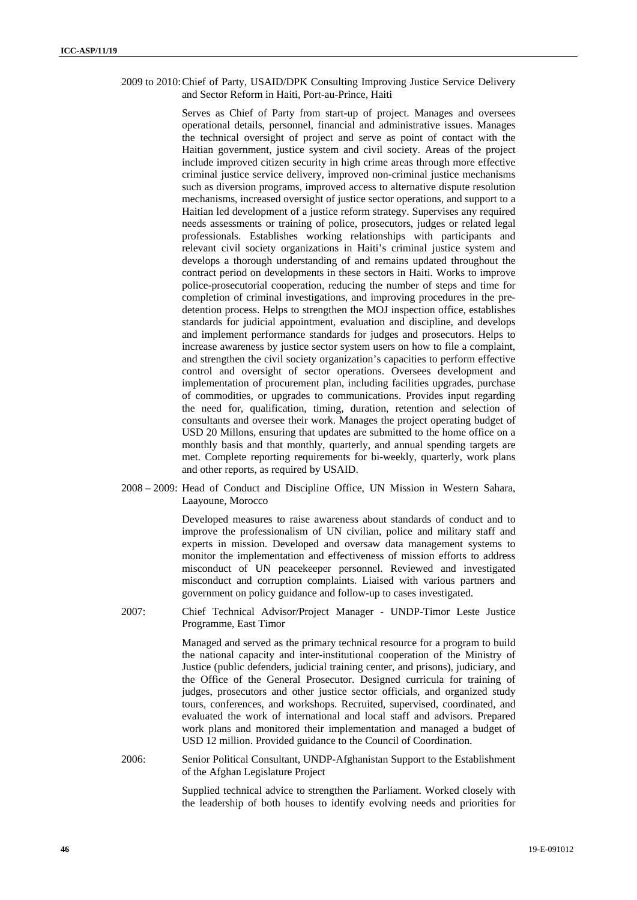2009 to 2010: Chief of Party, USAID/DPK Consulting Improving Justice Service Delivery and Sector Reform in Haiti, Port-au-Prince, Haiti

> Serves as Chief of Party from start-up of project. Manages and oversees operational details, personnel, financial and administrative issues. Manages the technical oversight of project and serve as point of contact with the Haitian government, justice system and civil society. Areas of the project include improved citizen security in high crime areas through more effective criminal justice service delivery, improved non-criminal justice mechanisms such as diversion programs, improved access to alternative dispute resolution mechanisms, increased oversight of justice sector operations, and support to a Haitian led development of a justice reform strategy. Supervises any required needs assessments or training of police, prosecutors, judges or related legal professionals. Establishes working relationships with participants and relevant civil society organizations in Haiti's criminal justice system and develops a thorough understanding of and remains updated throughout the contract period on developments in these sectors in Haiti. Works to improve police-prosecutorial cooperation, reducing the number of steps and time for completion of criminal investigations, and improving procedures in the predetention process. Helps to strengthen the MOJ inspection office, establishes standards for judicial appointment, evaluation and discipline, and develops and implement performance standards for judges and prosecutors. Helps to increase awareness by justice sector system users on how to file a complaint, and strengthen the civil society organization's capacities to perform effective control and oversight of sector operations. Oversees development and implementation of procurement plan, including facilities upgrades, purchase of commodities, or upgrades to communications. Provides input regarding the need for, qualification, timing, duration, retention and selection of consultants and oversee their work. Manages the project operating budget of USD 20 Millons, ensuring that updates are submitted to the home office on a monthly basis and that monthly, quarterly, and annual spending targets are met. Complete reporting requirements for bi-weekly, quarterly, work plans and other reports, as required by USAID.

2008 – 2009: Head of Conduct and Discipline Office, UN Mission in Western Sahara, Laayoune, Morocco

> Developed measures to raise awareness about standards of conduct and to improve the professionalism of UN civilian, police and military staff and experts in mission. Developed and oversaw data management systems to monitor the implementation and effectiveness of mission efforts to address misconduct of UN peacekeeper personnel. Reviewed and investigated misconduct and corruption complaints. Liaised with various partners and government on policy guidance and follow-up to cases investigated.

2007: Chief Technical Advisor/Project Manager - UNDP-Timor Leste Justice Programme, East Timor

> Managed and served as the primary technical resource for a program to build the national capacity and inter-institutional cooperation of the Ministry of Justice (public defenders, judicial training center, and prisons), judiciary, and the Office of the General Prosecutor. Designed curricula for training of judges, prosecutors and other justice sector officials, and organized study tours, conferences, and workshops. Recruited, supervised, coordinated, and evaluated the work of international and local staff and advisors. Prepared work plans and monitored their implementation and managed a budget of USD 12 million. Provided guidance to the Council of Coordination.

2006: Senior Political Consultant, UNDP-Afghanistan Support to the Establishment of the Afghan Legislature Project

> Supplied technical advice to strengthen the Parliament. Worked closely with the leadership of both houses to identify evolving needs and priorities for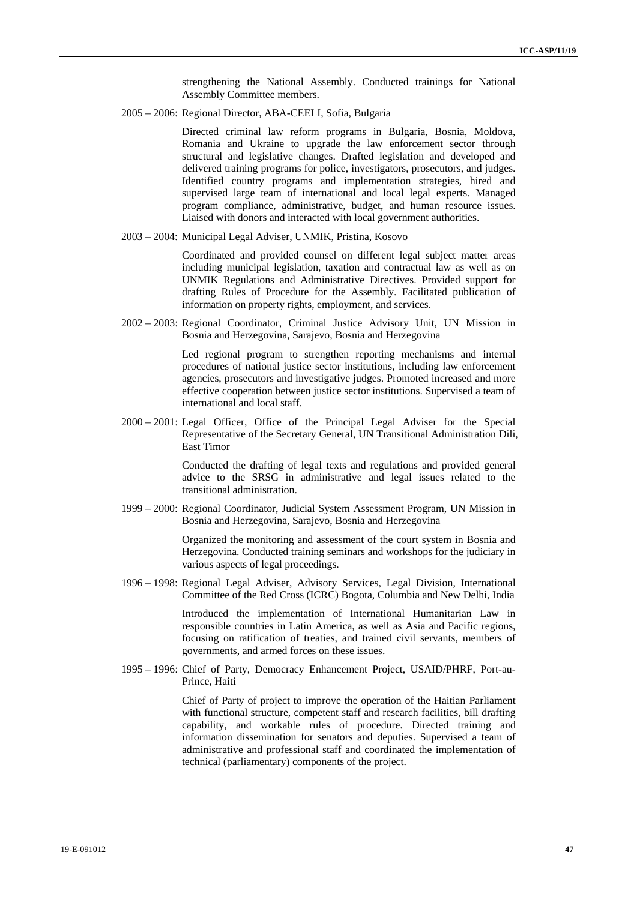strengthening the National Assembly. Conducted trainings for National Assembly Committee members.

2005 – 2006: Regional Director, ABA-CEELI, Sofia, Bulgaria

Directed criminal law reform programs in Bulgaria, Bosnia, Moldova, Romania and Ukraine to upgrade the law enforcement sector through structural and legislative changes. Drafted legislation and developed and delivered training programs for police, investigators, prosecutors, and judges. Identified country programs and implementation strategies, hired and supervised large team of international and local legal experts. Managed program compliance, administrative, budget, and human resource issues. Liaised with donors and interacted with local government authorities.

2003 – 2004: Municipal Legal Adviser, UNMIK, Pristina, Kosovo

Coordinated and provided counsel on different legal subject matter areas including municipal legislation, taxation and contractual law as well as on UNMIK Regulations and Administrative Directives. Provided support for drafting Rules of Procedure for the Assembly. Facilitated publication of information on property rights, employment, and services.

2002 – 2003: Regional Coordinator, Criminal Justice Advisory Unit, UN Mission in Bosnia and Herzegovina, Sarajevo, Bosnia and Herzegovina

> Led regional program to strengthen reporting mechanisms and internal procedures of national justice sector institutions, including law enforcement agencies, prosecutors and investigative judges. Promoted increased and more effective cooperation between justice sector institutions. Supervised a team of international and local staff.

2000 – 2001: Legal Officer, Office of the Principal Legal Adviser for the Special Representative of the Secretary General, UN Transitional Administration Dili, East Timor

> Conducted the drafting of legal texts and regulations and provided general advice to the SRSG in administrative and legal issues related to the transitional administration.

1999 – 2000: Regional Coordinator, Judicial System Assessment Program, UN Mission in Bosnia and Herzegovina, Sarajevo, Bosnia and Herzegovina

> Organized the monitoring and assessment of the court system in Bosnia and Herzegovina. Conducted training seminars and workshops for the judiciary in various aspects of legal proceedings.

1996 – 1998: Regional Legal Adviser, Advisory Services, Legal Division, International Committee of the Red Cross (ICRC) Bogota, Columbia and New Delhi, India

> Introduced the implementation of International Humanitarian Law in responsible countries in Latin America, as well as Asia and Pacific regions, focusing on ratification of treaties, and trained civil servants, members of governments, and armed forces on these issues.

1995 – 1996: Chief of Party, Democracy Enhancement Project, USAID/PHRF, Port-au-Prince, Haiti

> Chief of Party of project to improve the operation of the Haitian Parliament with functional structure, competent staff and research facilities, bill drafting capability, and workable rules of procedure. Directed training and information dissemination for senators and deputies. Supervised a team of administrative and professional staff and coordinated the implementation of technical (parliamentary) components of the project.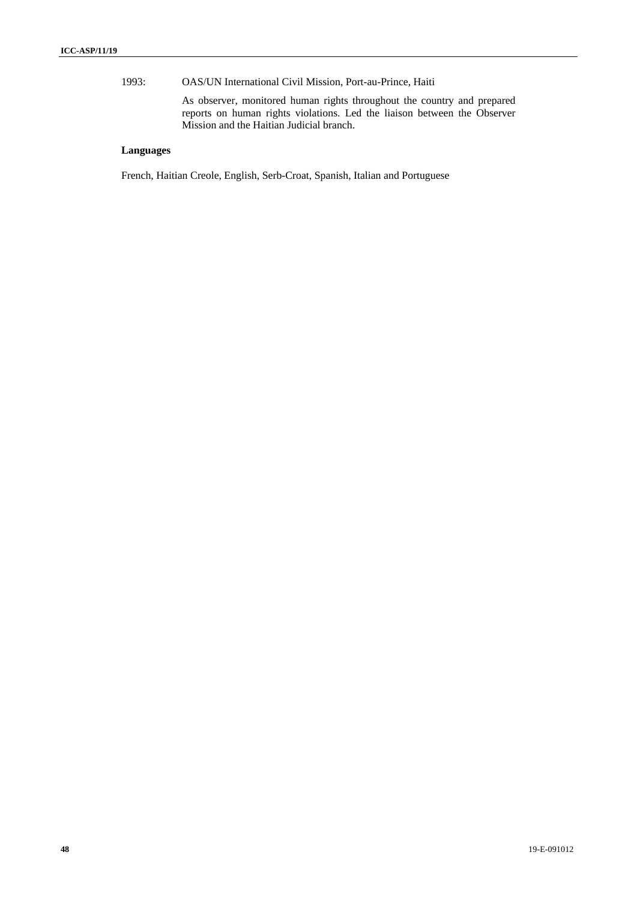1993: OAS/UN International Civil Mission, Port-au-Prince, Haiti

As observer, monitored human rights throughout the country and prepared reports on human rights violations. Led the liaison between the Observer Mission and the Haitian Judicial branch.

### **Languages**

French, Haitian Creole, English, Serb-Croat, Spanish, Italian and Portuguese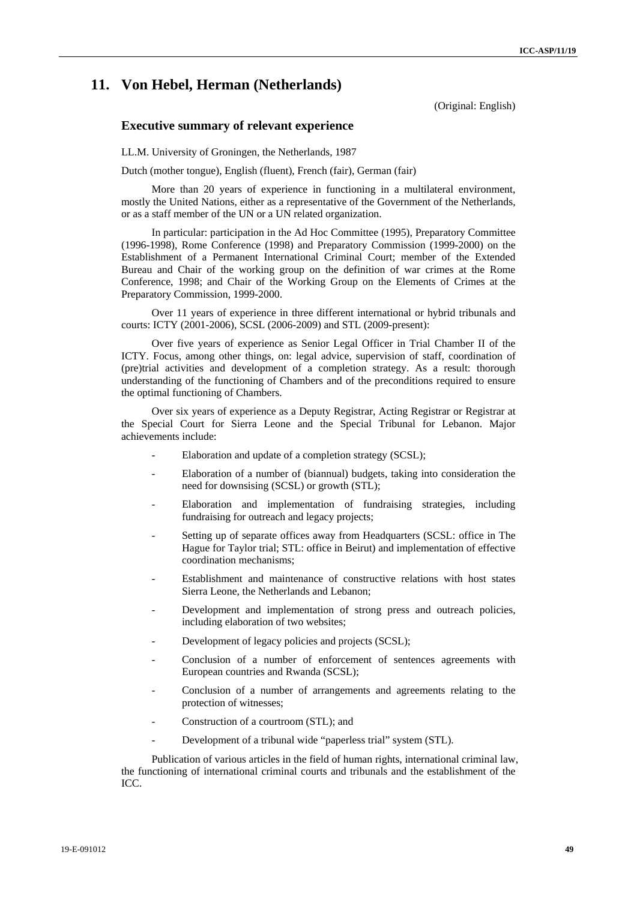### **11. Von Hebel, Herman (Netherlands)**

(Original: English)

### **Executive summary of relevant experience**

LL.M. University of Groningen, the Netherlands, 1987

Dutch (mother tongue), English (fluent), French (fair), German (fair)

More than 20 years of experience in functioning in a multilateral environment, mostly the United Nations, either as a representative of the Government of the Netherlands, or as a staff member of the UN or a UN related organization.

In particular: participation in the Ad Hoc Committee (1995), Preparatory Committee (1996-1998), Rome Conference (1998) and Preparatory Commission (1999-2000) on the Establishment of a Permanent International Criminal Court; member of the Extended Bureau and Chair of the working group on the definition of war crimes at the Rome Conference, 1998; and Chair of the Working Group on the Elements of Crimes at the Preparatory Commission, 1999-2000.

Over 11 years of experience in three different international or hybrid tribunals and courts: ICTY (2001-2006), SCSL (2006-2009) and STL (2009-present):

Over five years of experience as Senior Legal Officer in Trial Chamber II of the ICTY. Focus, among other things, on: legal advice, supervision of staff, coordination of (pre)trial activities and development of a completion strategy. As a result: thorough understanding of the functioning of Chambers and of the preconditions required to ensure the optimal functioning of Chambers.

Over six years of experience as a Deputy Registrar, Acting Registrar or Registrar at the Special Court for Sierra Leone and the Special Tribunal for Lebanon. Major achievements include:

- Elaboration and update of a completion strategy (SCSL);
- Elaboration of a number of (biannual) budgets, taking into consideration the need for downsising (SCSL) or growth (STL);
- Elaboration and implementation of fundraising strategies, including fundraising for outreach and legacy projects;
- Setting up of separate offices away from Headquarters (SCSL: office in The Hague for Taylor trial; STL: office in Beirut) and implementation of effective coordination mechanisms;
- Establishment and maintenance of constructive relations with host states Sierra Leone, the Netherlands and Lebanon;
- Development and implementation of strong press and outreach policies, including elaboration of two websites;
- Development of legacy policies and projects (SCSL);
- Conclusion of a number of enforcement of sentences agreements with European countries and Rwanda (SCSL);
- Conclusion of a number of arrangements and agreements relating to the protection of witnesses;
- Construction of a courtroom (STL); and
- Development of a tribunal wide "paperless trial" system (STL).

Publication of various articles in the field of human rights, international criminal law, the functioning of international criminal courts and tribunals and the establishment of the ICC.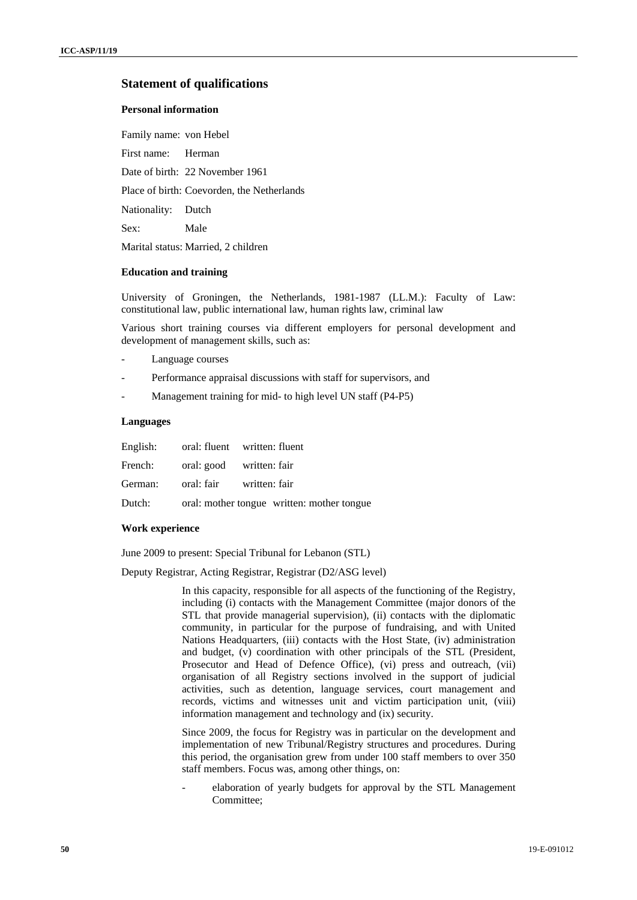### **Statement of qualifications**

### **Personal information**

Family name: von Hebel

First name: Herman

Date of birth: 22 November 1961

Place of birth: Coevorden, the Netherlands

Nationality: Dutch

Sex: Male

Marital status: Married, 2 children

#### **Education and training**

University of Groningen, the Netherlands, 1981-1987 (LL.M.): Faculty of Law: constitutional law, public international law, human rights law, criminal law

Various short training courses via different employers for personal development and development of management skills, such as:

- Language courses
- Performance appraisal discussions with staff for supervisors, and
- Management training for mid- to high level UN staff (P4-P5)

### **Languages**

|                                  | English: oral: fluent written: fluent             |
|----------------------------------|---------------------------------------------------|
| French: oral: good written: fair |                                                   |
| German: oral: fair written: fair |                                                   |
|                                  | Dutch: oral: mother tongue written: mother tongue |

#### **Work experience**

June 2009 to present: Special Tribunal for Lebanon (STL)

Deputy Registrar, Acting Registrar, Registrar (D2/ASG level)

In this capacity, responsible for all aspects of the functioning of the Registry, including (i) contacts with the Management Committee (major donors of the STL that provide managerial supervision), (ii) contacts with the diplomatic community, in particular for the purpose of fundraising, and with United Nations Headquarters, (iii) contacts with the Host State, (iv) administration and budget, (v) coordination with other principals of the STL (President, Prosecutor and Head of Defence Office), (vi) press and outreach, (vii) organisation of all Registry sections involved in the support of judicial activities, such as detention, language services, court management and records, victims and witnesses unit and victim participation unit, (viii) information management and technology and (ix) security.

Since 2009, the focus for Registry was in particular on the development and implementation of new Tribunal/Registry structures and procedures. During this period, the organisation grew from under 100 staff members to over 350 staff members. Focus was, among other things, on:

- elaboration of yearly budgets for approval by the STL Management Committee;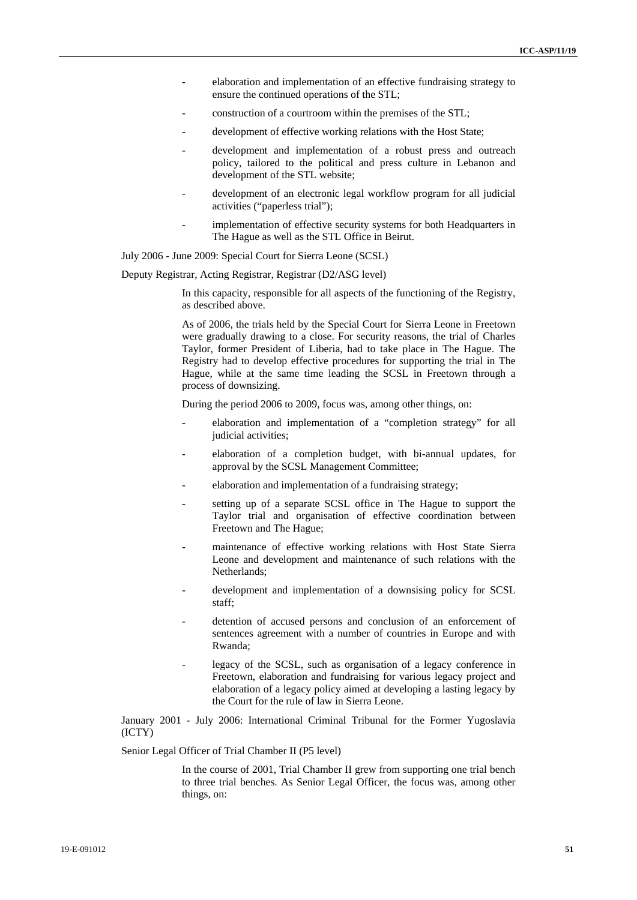- elaboration and implementation of an effective fundraising strategy to ensure the continued operations of the STL;
- construction of a courtroom within the premises of the STL:
- development of effective working relations with the Host State;
- development and implementation of a robust press and outreach policy, tailored to the political and press culture in Lebanon and development of the STL website;
- development of an electronic legal workflow program for all judicial activities ("paperless trial");
- implementation of effective security systems for both Headquarters in The Hague as well as the STL Office in Beirut.

July 2006 - June 2009: Special Court for Sierra Leone (SCSL)

Deputy Registrar, Acting Registrar, Registrar (D2/ASG level)

In this capacity, responsible for all aspects of the functioning of the Registry, as described above.

As of 2006, the trials held by the Special Court for Sierra Leone in Freetown were gradually drawing to a close. For security reasons, the trial of Charles Taylor, former President of Liberia, had to take place in The Hague. The Registry had to develop effective procedures for supporting the trial in The Hague, while at the same time leading the SCSL in Freetown through a process of downsizing.

During the period 2006 to 2009, focus was, among other things, on:

- elaboration and implementation of a "completion strategy" for all judicial activities;
- elaboration of a completion budget, with bi-annual updates, for approval by the SCSL Management Committee;
- elaboration and implementation of a fundraising strategy;
- setting up of a separate SCSL office in The Hague to support the Taylor trial and organisation of effective coordination between Freetown and The Hague;
- maintenance of effective working relations with Host State Sierra Leone and development and maintenance of such relations with the Netherlands;
- development and implementation of a downsising policy for SCSL staff;
- detention of accused persons and conclusion of an enforcement of sentences agreement with a number of countries in Europe and with Rwanda;
- legacy of the SCSL, such as organisation of a legacy conference in Freetown, elaboration and fundraising for various legacy project and elaboration of a legacy policy aimed at developing a lasting legacy by the Court for the rule of law in Sierra Leone.

January 2001 - July 2006: International Criminal Tribunal for the Former Yugoslavia (ICTY)

Senior Legal Officer of Trial Chamber II (P5 level)

In the course of 2001, Trial Chamber II grew from supporting one trial bench to three trial benches. As Senior Legal Officer, the focus was, among other things, on: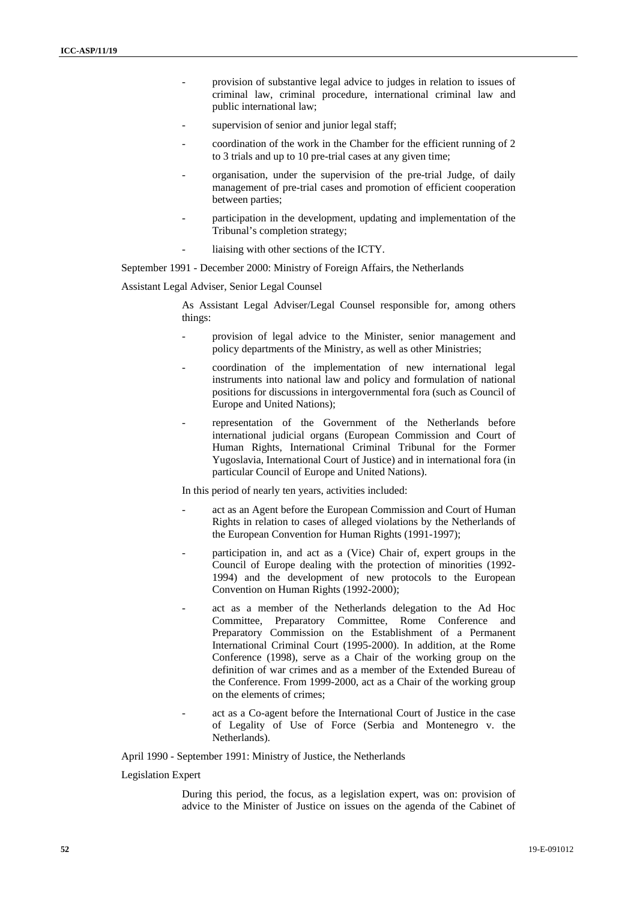- provision of substantive legal advice to judges in relation to issues of criminal law, criminal procedure, international criminal law and public international law;
- supervision of senior and junior legal staff;
- coordination of the work in the Chamber for the efficient running of 2 to 3 trials and up to 10 pre-trial cases at any given time;
- organisation, under the supervision of the pre-trial Judge, of daily management of pre-trial cases and promotion of efficient cooperation between parties;
- participation in the development, updating and implementation of the Tribunal's completion strategy;
- liaising with other sections of the ICTY.

September 1991 - December 2000: Ministry of Foreign Affairs, the Netherlands

Assistant Legal Adviser, Senior Legal Counsel

As Assistant Legal Adviser/Legal Counsel responsible for, among others things:

- provision of legal advice to the Minister, senior management and policy departments of the Ministry, as well as other Ministries;
- coordination of the implementation of new international legal instruments into national law and policy and formulation of national positions for discussions in intergovernmental fora (such as Council of Europe and United Nations);
- representation of the Government of the Netherlands before international judicial organs (European Commission and Court of Human Rights, International Criminal Tribunal for the Former Yugoslavia, International Court of Justice) and in international fora (in particular Council of Europe and United Nations).

In this period of nearly ten years, activities included:

- act as an Agent before the European Commission and Court of Human Rights in relation to cases of alleged violations by the Netherlands of the European Convention for Human Rights (1991-1997);
- participation in, and act as a (Vice) Chair of, expert groups in the Council of Europe dealing with the protection of minorities (1992- 1994) and the development of new protocols to the European Convention on Human Rights (1992-2000);
- act as a member of the Netherlands delegation to the Ad Hoc Committee, Preparatory Committee, Rome Conference and Preparatory Commission on the Establishment of a Permanent International Criminal Court (1995-2000). In addition, at the Rome Conference (1998), serve as a Chair of the working group on the definition of war crimes and as a member of the Extended Bureau of the Conference. From 1999-2000, act as a Chair of the working group on the elements of crimes;
- act as a Co-agent before the International Court of Justice in the case of Legality of Use of Force (Serbia and Montenegro v. the Netherlands).

April 1990 - September 1991: Ministry of Justice, the Netherlands

Legislation Expert

During this period, the focus, as a legislation expert, was on: provision of advice to the Minister of Justice on issues on the agenda of the Cabinet of